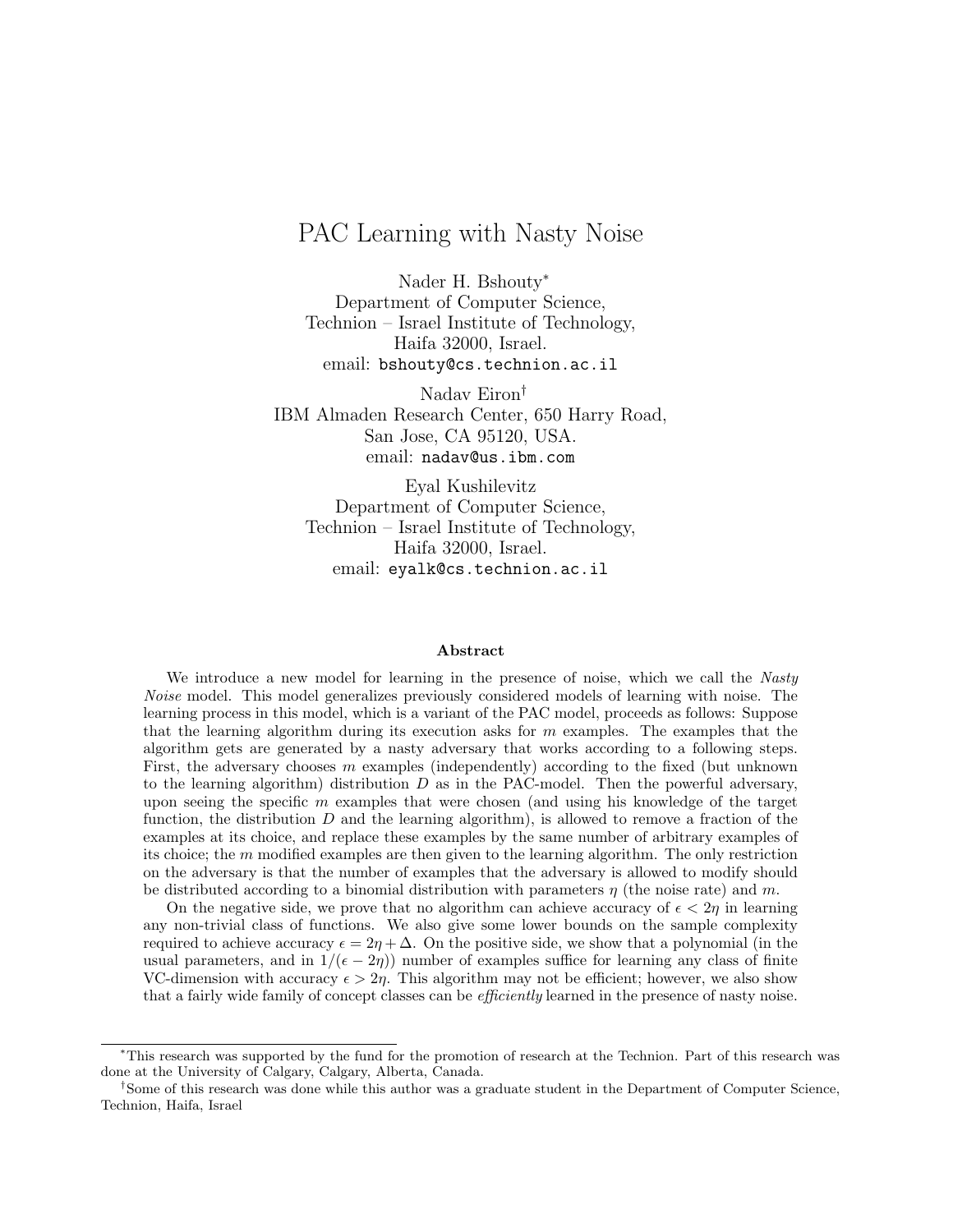# PAC Learning with Nasty Noise

Nader H. Bshouty<sup>∗</sup> Department of Computer Science, Technion – Israel Institute of Technology, Haifa 32000, Israel. email: bshouty@cs.technion.ac.il

Nadav Eiron† IBM Almaden Research Center, 650 Harry Road, San Jose, CA 95120, USA. email: nadav@us.ibm.com

Eyal Kushilevitz Department of Computer Science, Technion – Israel Institute of Technology, Haifa 32000, Israel. email: eyalk@cs.technion.ac.il

#### Abstract

We introduce a new model for learning in the presence of noise, which we call the Nasty Noise model. This model generalizes previously considered models of learning with noise. The learning process in this model, which is a variant of the PAC model, proceeds as follows: Suppose that the learning algorithm during its execution asks for  $m$  examples. The examples that the algorithm gets are generated by a nasty adversary that works according to a following steps. First, the adversary chooses  $m$  examples (independently) according to the fixed (but unknown to the learning algorithm) distribution  $D$  as in the PAC-model. Then the powerful adversary, upon seeing the specific  $m$  examples that were chosen (and using his knowledge of the target function, the distribution  $D$  and the learning algorithm), is allowed to remove a fraction of the examples at its choice, and replace these examples by the same number of arbitrary examples of its choice; the  $m$  modified examples are then given to the learning algorithm. The only restriction on the adversary is that the number of examples that the adversary is allowed to modify should be distributed according to a binomial distribution with parameters  $\eta$  (the noise rate) and m.

On the negative side, we prove that no algorithm can achieve accuracy of  $\epsilon < 2\eta$  in learning any non-trivial class of functions. We also give some lower bounds on the sample complexity required to achieve accuracy  $\epsilon = 2\eta + \Delta$ . On the positive side, we show that a polynomial (in the usual parameters, and in  $1/(\epsilon - 2\eta)$  number of examples suffice for learning any class of finite VC-dimension with accuracy  $\epsilon > 2\eta$ . This algorithm may not be efficient; however, we also show that a fairly wide family of concept classes can be *efficiently* learned in the presence of nasty noise.

<sup>∗</sup>This research was supported by the fund for the promotion of research at the Technion. Part of this research was done at the University of Calgary, Calgary, Alberta, Canada.

<sup>†</sup>Some of this research was done while this author was a graduate student in the Department of Computer Science, Technion, Haifa, Israel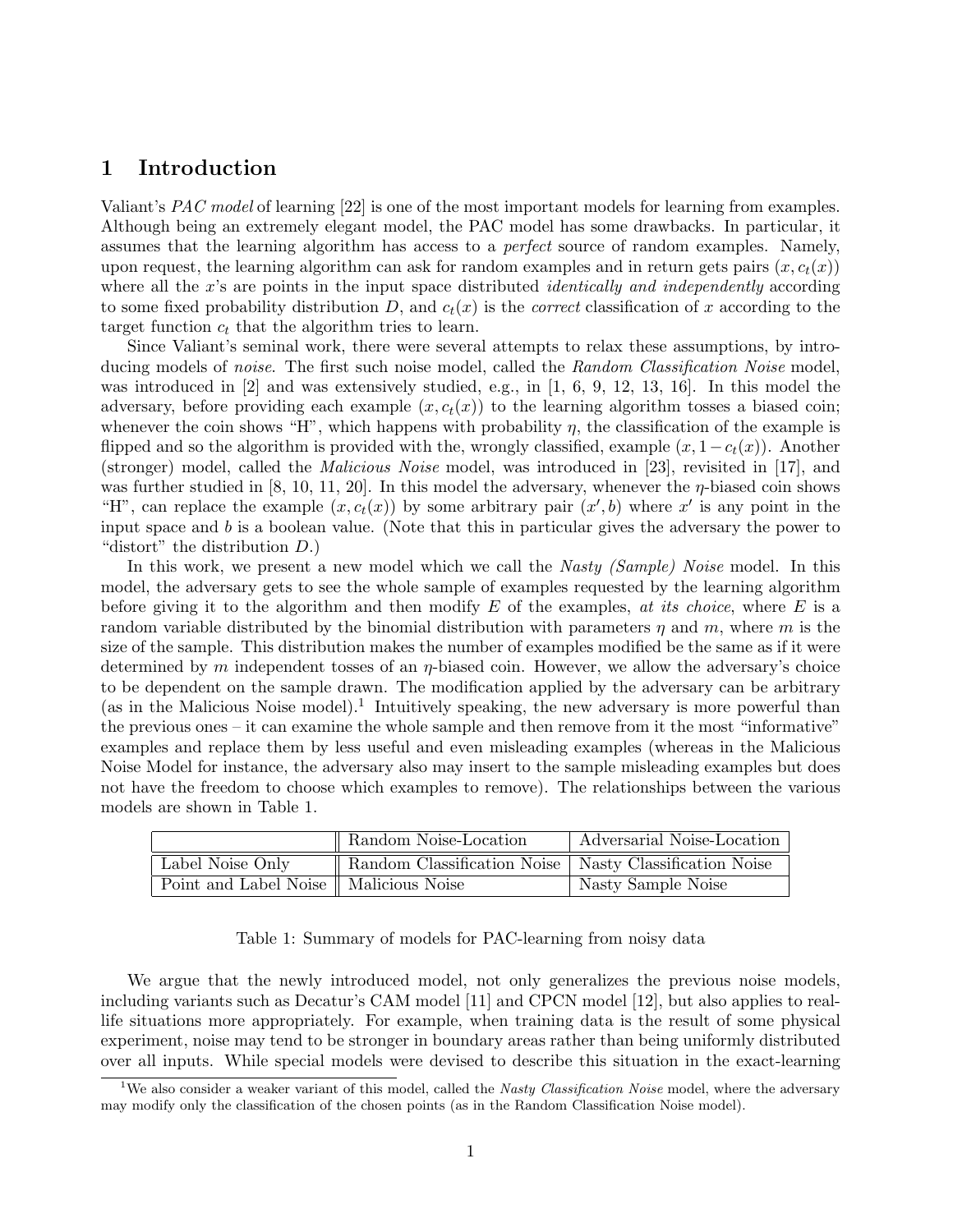### 1 Introduction

Valiant's *PAC model* of learning [22] is one of the most important models for learning from examples. Although being an extremely elegant model, the PAC model has some drawbacks. In particular, it assumes that the learning algorithm has access to a *perfect* source of random examples. Namely, upon request, the learning algorithm can ask for random examples and in return gets pairs  $(x, c_t(x))$ where all the x's are points in the input space distributed *identically and independently* according to some fixed probability distribution D, and  $c_t(x)$  is the *correct* classification of x according to the target function  $c_t$  that the algorithm tries to learn.

Since Valiant's seminal work, there were several attempts to relax these assumptions, by introducing models of noise. The first such noise model, called the Random Classification Noise model, was introduced in [2] and was extensively studied, e.g., in [1, 6, 9, 12, 13, 16]. In this model the adversary, before providing each example  $(x, c_t(x))$  to the learning algorithm tosses a biased coin; whenever the coin shows "H", which happens with probability  $\eta$ , the classification of the example is flipped and so the algorithm is provided with the, wrongly classified, example  $(x, 1-c_t(x))$ . Another (stronger) model, called the Malicious Noise model, was introduced in [23], revisited in [17], and was further studied in [8, 10, 11, 20]. In this model the adversary, whenever the  $\eta$ -biased coin shows "H", can replace the example  $(x, c_t(x))$  by some arbitrary pair  $(x', b)$  where x' is any point in the input space and b is a boolean value. (Note that this in particular gives the adversary the power to "distort" the distribution D.)

In this work, we present a new model which we call the *Nasty (Sample) Noise* model. In this model, the adversary gets to see the whole sample of examples requested by the learning algorithm before giving it to the algorithm and then modify  $E$  of the examples, at its choice, where  $E$  is a random variable distributed by the binomial distribution with parameters  $\eta$  and  $m$ , where m is the size of the sample. This distribution makes the number of examples modified be the same as if it were determined by m independent tosses of an  $\eta$ -biased coin. However, we allow the adversary's choice to be dependent on the sample drawn. The modification applied by the adversary can be arbitrary (as in the Malicious Noise model).<sup>1</sup> Intuitively speaking, the new adversary is more powerful than the previous ones – it can examine the whole sample and then remove from it the most "informative" examples and replace them by less useful and even misleading examples (whereas in the Malicious Noise Model for instance, the adversary also may insert to the sample misleading examples but does not have the freedom to choose which examples to remove). The relationships between the various models are shown in Table 1.

|                                          | Random Noise-Location                                    | Adversarial Noise-Location |
|------------------------------------------|----------------------------------------------------------|----------------------------|
| Label Noise Only                         | Random Classification Noise   Nasty Classification Noise |                            |
| Point and Label Noise    Malicious Noise |                                                          | Nasty Sample Noise         |

#### Table 1: Summary of models for PAC-learning from noisy data

We argue that the newly introduced model, not only generalizes the previous noise models, including variants such as Decatur's CAM model [11] and CPCN model [12], but also applies to reallife situations more appropriately. For example, when training data is the result of some physical experiment, noise may tend to be stronger in boundary areas rather than being uniformly distributed over all inputs. While special models were devised to describe this situation in the exact-learning

<sup>&</sup>lt;sup>1</sup>We also consider a weaker variant of this model, called the Nasty Classification Noise model, where the adversary may modify only the classification of the chosen points (as in the Random Classification Noise model).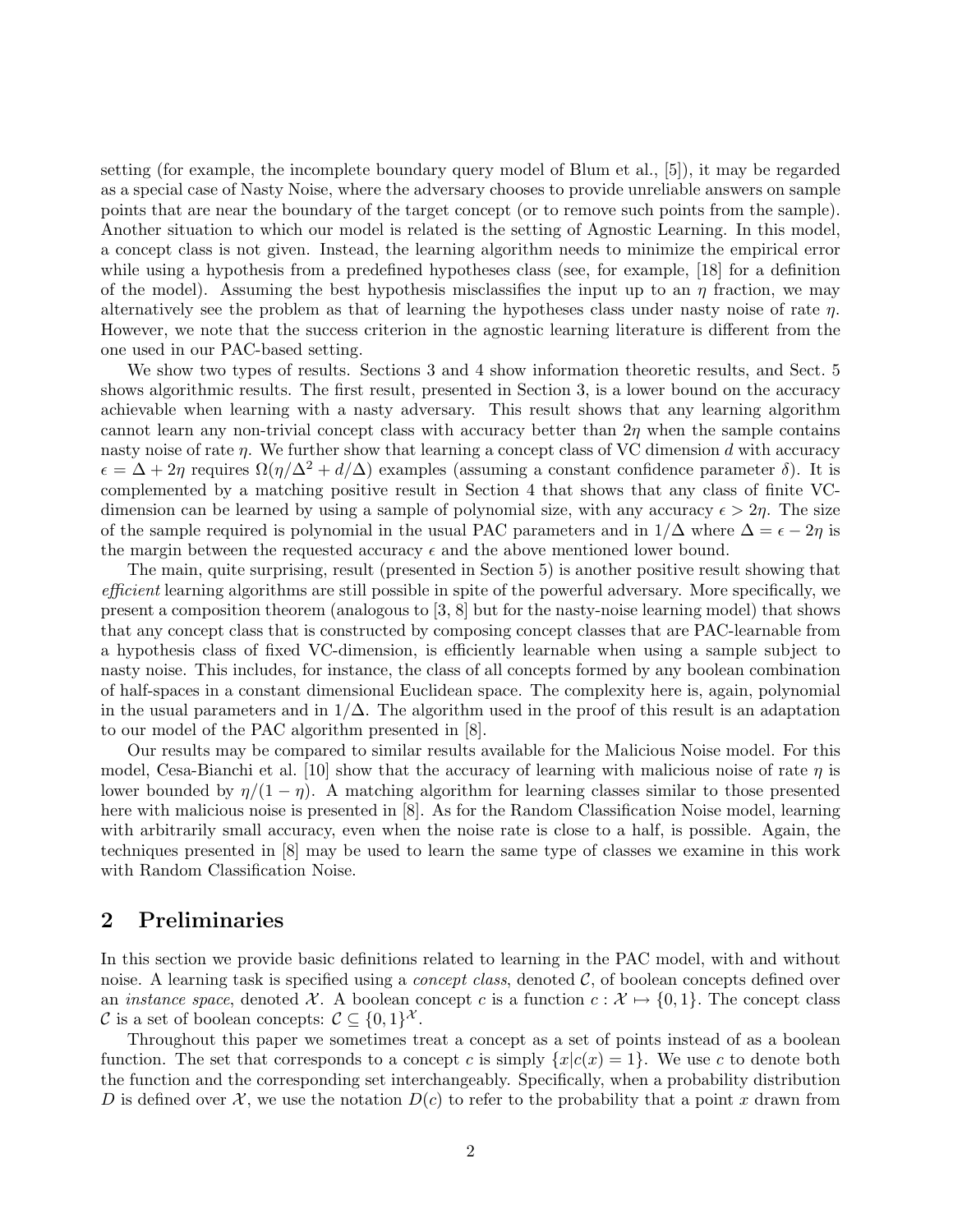setting (for example, the incomplete boundary query model of Blum et al., [5]), it may be regarded as a special case of Nasty Noise, where the adversary chooses to provide unreliable answers on sample points that are near the boundary of the target concept (or to remove such points from the sample). Another situation to which our model is related is the setting of Agnostic Learning. In this model, a concept class is not given. Instead, the learning algorithm needs to minimize the empirical error while using a hypothesis from a predefined hypotheses class (see, for example, [18] for a definition of the model). Assuming the best hypothesis misclassifies the input up to an  $\eta$  fraction, we may alternatively see the problem as that of learning the hypotheses class under nasty noise of rate  $\eta$ . However, we note that the success criterion in the agnostic learning literature is different from the one used in our PAC-based setting.

We show two types of results. Sections 3 and 4 show information theoretic results, and Sect. 5 shows algorithmic results. The first result, presented in Section 3, is a lower bound on the accuracy achievable when learning with a nasty adversary. This result shows that any learning algorithm cannot learn any non-trivial concept class with accuracy better than  $2\eta$  when the sample contains nasty noise of rate  $\eta$ . We further show that learning a concept class of VC dimension d with accuracy  $\epsilon = \Delta + 2\eta$  requires  $\Omega(\eta/\Delta^2 + d/\Delta)$  examples (assuming a constant confidence parameter  $\delta$ ). It is complemented by a matching positive result in Section 4 that shows that any class of finite VCdimension can be learned by using a sample of polynomial size, with any accuracy  $\epsilon > 2\eta$ . The size of the sample required is polynomial in the usual PAC parameters and in  $1/\Delta$  where  $\Delta = \epsilon - 2\eta$  is the margin between the requested accuracy  $\epsilon$  and the above mentioned lower bound.

The main, quite surprising, result (presented in Section 5) is another positive result showing that efficient learning algorithms are still possible in spite of the powerful adversary. More specifically, we present a composition theorem (analogous to [3, 8] but for the nasty-noise learning model) that shows that any concept class that is constructed by composing concept classes that are PAC-learnable from a hypothesis class of fixed VC-dimension, is efficiently learnable when using a sample subject to nasty noise. This includes, for instance, the class of all concepts formed by any boolean combination of half-spaces in a constant dimensional Euclidean space. The complexity here is, again, polynomial in the usual parameters and in  $1/\Delta$ . The algorithm used in the proof of this result is an adaptation to our model of the PAC algorithm presented in [8].

Our results may be compared to similar results available for the Malicious Noise model. For this model, Cesa-Bianchi et al. [10] show that the accuracy of learning with malicious noise of rate  $\eta$  is lower bounded by  $\eta/(1 - \eta)$ . A matching algorithm for learning classes similar to those presented here with malicious noise is presented in [8]. As for the Random Classification Noise model, learning with arbitrarily small accuracy, even when the noise rate is close to a half, is possible. Again, the techniques presented in [8] may be used to learn the same type of classes we examine in this work with Random Classification Noise.

### 2 Preliminaries

In this section we provide basic definitions related to learning in the PAC model, with and without noise. A learning task is specified using a *concept class*, denoted  $\mathcal{C}$ , of boolean concepts defined over an *instance space*, denoted X. A boolean concept c is a function  $c : \mathcal{X} \mapsto \{0, 1\}$ . The concept class C is a set of boolean concepts:  $C \subseteq \{0,1\}^{\mathcal{X}}$ .

Throughout this paper we sometimes treat a concept as a set of points instead of as a boolean function. The set that corresponds to a concept c is simply  ${x|c(x) = 1}$ . We use c to denote both the function and the corresponding set interchangeably. Specifically, when a probability distribution D is defined over X, we use the notation  $D(c)$  to refer to the probability that a point x drawn from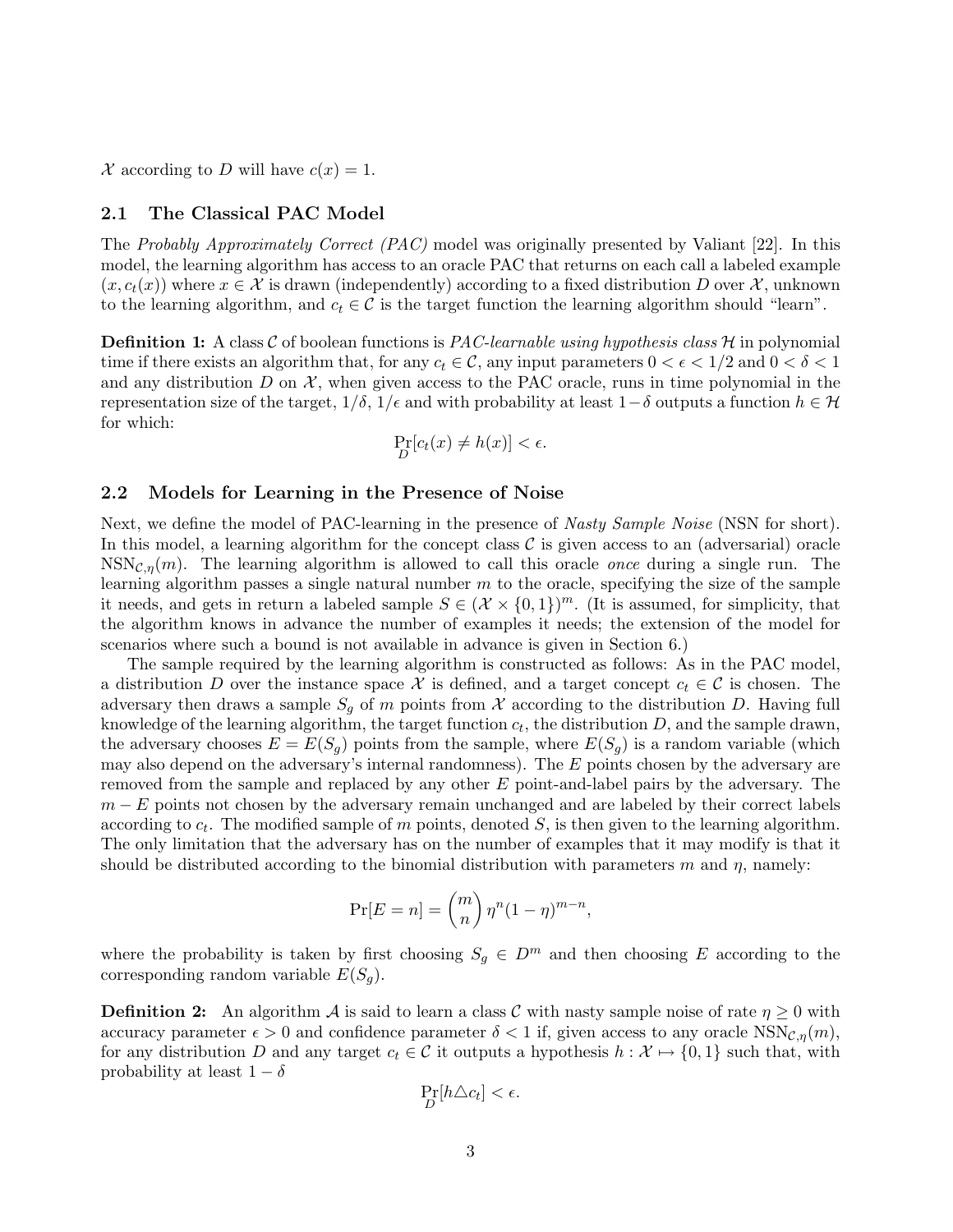X according to D will have  $c(x) = 1$ .

### 2.1 The Classical PAC Model

The Probably Approximately Correct (PAC) model was originally presented by Valiant [22]. In this model, the learning algorithm has access to an oracle PAC that returns on each call a labeled example  $(x, c_t(x))$  where  $x \in \mathcal{X}$  is drawn (independently) according to a fixed distribution D over X, unknown to the learning algorithm, and  $c_t \in \mathcal{C}$  is the target function the learning algorithm should "learn".

**Definition 1:** A class  $\mathcal C$  of boolean functions is *PAC-learnable using hypothesis class*  $\mathcal H$  in polynomial time if there exists an algorithm that, for any  $c_t \in \mathcal{C}$ , any input parameters  $0 < \epsilon < 1/2$  and  $0 < \delta < 1$ and any distribution  $D$  on  $\mathcal{X}$ , when given access to the PAC oracle, runs in time polynomial in the representation size of the target,  $1/\delta$ ,  $1/\epsilon$  and with probability at least  $1-\delta$  outputs a function  $h \in \mathcal{H}$ for which:

$$
\Pr_D[c_t(x) \neq h(x)] < \epsilon.
$$

### 2.2 Models for Learning in the Presence of Noise

Next, we define the model of PAC-learning in the presence of *Nasty Sample Noise* (NSN for short). In this model, a learning algorithm for the concept class  $\mathcal C$  is given access to an (adversarial) oracle  $NSN<sub>C,\eta</sub>(m)$ . The learning algorithm is allowed to call this oracle *once* during a single run. The learning algorithm passes a single natural number  $m$  to the oracle, specifying the size of the sample it needs, and gets in return a labeled sample  $S \in (\mathcal{X} \times \{0,1\})^m$ . (It is assumed, for simplicity, that the algorithm knows in advance the number of examples it needs; the extension of the model for scenarios where such a bound is not available in advance is given in Section 6.)

The sample required by the learning algorithm is constructed as follows: As in the PAC model, a distribution D over the instance space X is defined, and a target concept  $c_t \in \mathcal{C}$  is chosen. The adversary then draws a sample  $S_g$  of m points from X according to the distribution D. Having full knowledge of the learning algorithm, the target function  $c_t$ , the distribution D, and the sample drawn, the adversary chooses  $E = E(S_q)$  points from the sample, where  $E(S_q)$  is a random variable (which may also depend on the adversary's internal randomness). The  $E$  points chosen by the adversary are removed from the sample and replaced by any other E point-and-label pairs by the adversary. The  $m - E$  points not chosen by the adversary remain unchanged and are labeled by their correct labels according to  $c_t$ . The modified sample of m points, denoted S, is then given to the learning algorithm. The only limitation that the adversary has on the number of examples that it may modify is that it should be distributed according to the binomial distribution with parameters  $m$  and  $\eta$ , namely:

$$
\Pr[E=n] = \binom{m}{n} \eta^n (1-\eta)^{m-n},
$$

where the probability is taken by first choosing  $S_g \in D^m$  and then choosing E according to the corresponding random variable  $E(S_q)$ .

**Definition 2:** An algorithm A is said to learn a class C with nasty sample noise of rate  $\eta \geq 0$  with accuracy parameter  $\epsilon > 0$  and confidence parameter  $\delta < 1$  if, given access to any oracle NSN<sub>C,n</sub> $(m)$ , for any distribution D and any target  $c_t \in \mathcal{C}$  it outputs a hypothesis  $h: \mathcal{X} \mapsto \{0, 1\}$  such that, with probability at least  $1 - \delta$ 

$$
\Pr_D[h\triangle c_t] < \epsilon.
$$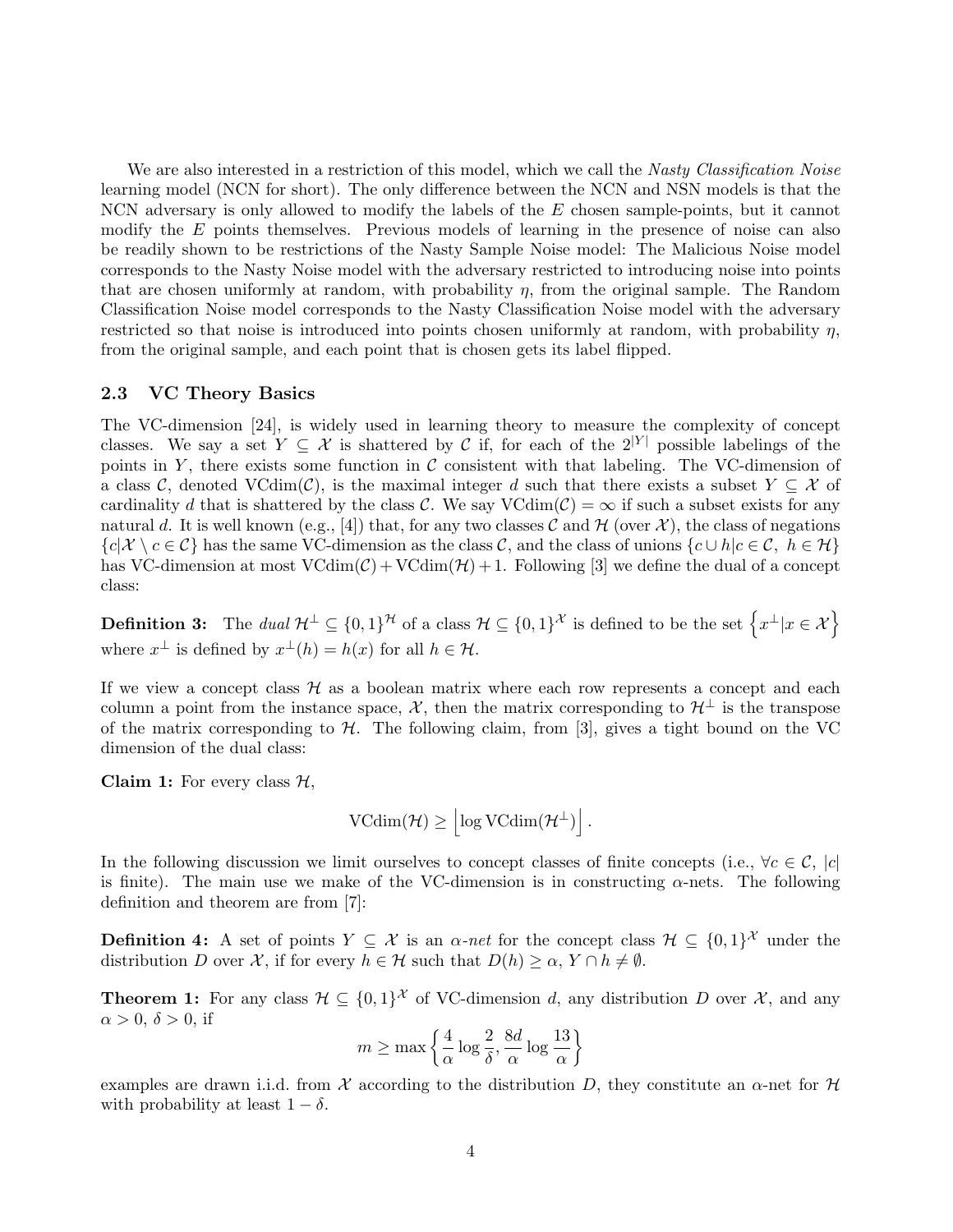We are also interested in a restriction of this model, which we call the Nasty Classification Noise learning model (NCN for short). The only difference between the NCN and NSN models is that the NCN adversary is only allowed to modify the labels of the  $E$  chosen sample-points, but it cannot modify the E points themselves. Previous models of learning in the presence of noise can also be readily shown to be restrictions of the Nasty Sample Noise model: The Malicious Noise model corresponds to the Nasty Noise model with the adversary restricted to introducing noise into points that are chosen uniformly at random, with probability  $\eta$ , from the original sample. The Random Classification Noise model corresponds to the Nasty Classification Noise model with the adversary restricted so that noise is introduced into points chosen uniformly at random, with probability  $\eta$ , from the original sample, and each point that is chosen gets its label flipped.

#### 2.3 VC Theory Basics

The VC-dimension [24], is widely used in learning theory to measure the complexity of concept classes. We say a set  $Y \subseteq \mathcal{X}$  is shattered by C if, for each of the  $2^{|Y|}$  possible labelings of the points in Y, there exists some function in  $\mathcal C$  consistent with that labeling. The VC-dimension of a class C, denoted VCdim(C), is the maximal integer d such that there exists a subset  $Y \subseteq \mathcal{X}$  of cardinality d that is shattered by the class C. We say  $\text{VCdim}(\mathcal{C}) = \infty$  if such a subset exists for any natural d. It is well known (e.g., [4]) that, for any two classes C and H (over  $\mathcal{X}$ ), the class of negations  ${c | \mathcal{X} \setminus c \in \mathcal{C}}$  has the same VC-dimension as the class  $\mathcal{C}$ , and the class of unions  ${c \cup h | c \in \mathcal{C}, h \in \mathcal{H}}$ has VC-dimension at most  $VCdim(\mathcal{C}) + VCdim(\mathcal{H}) + 1$ . Following [3] we define the dual of a concept class:

**Definition 3:** The dual  $\mathcal{H}^{\perp} \subseteq \{0,1\}^{\mathcal{H}}$  of a class  $\mathcal{H} \subseteq \{0,1\}^{\mathcal{X}}$  is defined to be the set  $\left\{x^{\perp} | x \in \mathcal{X}\right\}$ where  $x^{\perp}$  is defined by  $x^{\perp}(h) = h(x)$  for all  $h \in \mathcal{H}$ .

If we view a concept class  $H$  as a boolean matrix where each row represents a concept and each column a point from the instance space,  $\mathcal{X}$ , then the matrix corresponding to  $\mathcal{H}^{\perp}$  is the transpose of the matrix corresponding to  $H$ . The following claim, from [3], gives a tight bound on the VC dimension of the dual class:

Claim 1: For every class  $H$ ,

$$
\mathrm{VCdim}(\mathcal{H}) \geq \left| \log \mathrm{VCdim}(\mathcal{H}^{\perp}) \right|.
$$

In the following discussion we limit ourselves to concept classes of finite concepts (i.e.,  $\forall c \in \mathcal{C}$ , |c| is finite). The main use we make of the VC-dimension is in constructing  $\alpha$ -nets. The following definition and theorem are from [7]:

**Definition 4:** A set of points  $Y \subseteq \mathcal{X}$  is an  $\alpha$ -net for the concept class  $\mathcal{H} \subseteq \{0,1\}^{\mathcal{X}}$  under the distribution D over X, if for every  $h \in \mathcal{H}$  such that  $D(h) \geq \alpha$ ,  $Y \cap h \neq \emptyset$ .

**Theorem 1:** For any class  $\mathcal{H} \subseteq \{0,1\}^{\mathcal{X}}$  of VC-dimension d, any distribution D over  $\mathcal{X}$ , and any  $\alpha > 0$ ,  $\delta > 0$ , if  $\ddot{\phantom{0}}$ 

$$
m \ge \max\left\{\frac{4}{\alpha}\log\frac{2}{\delta}, \frac{8d}{\alpha}\log\frac{13}{\alpha}\right\}
$$

examples are drawn i.i.d. from X according to the distribution D, they constitute an  $\alpha$ -net for H with probability at least  $1 - \delta$ .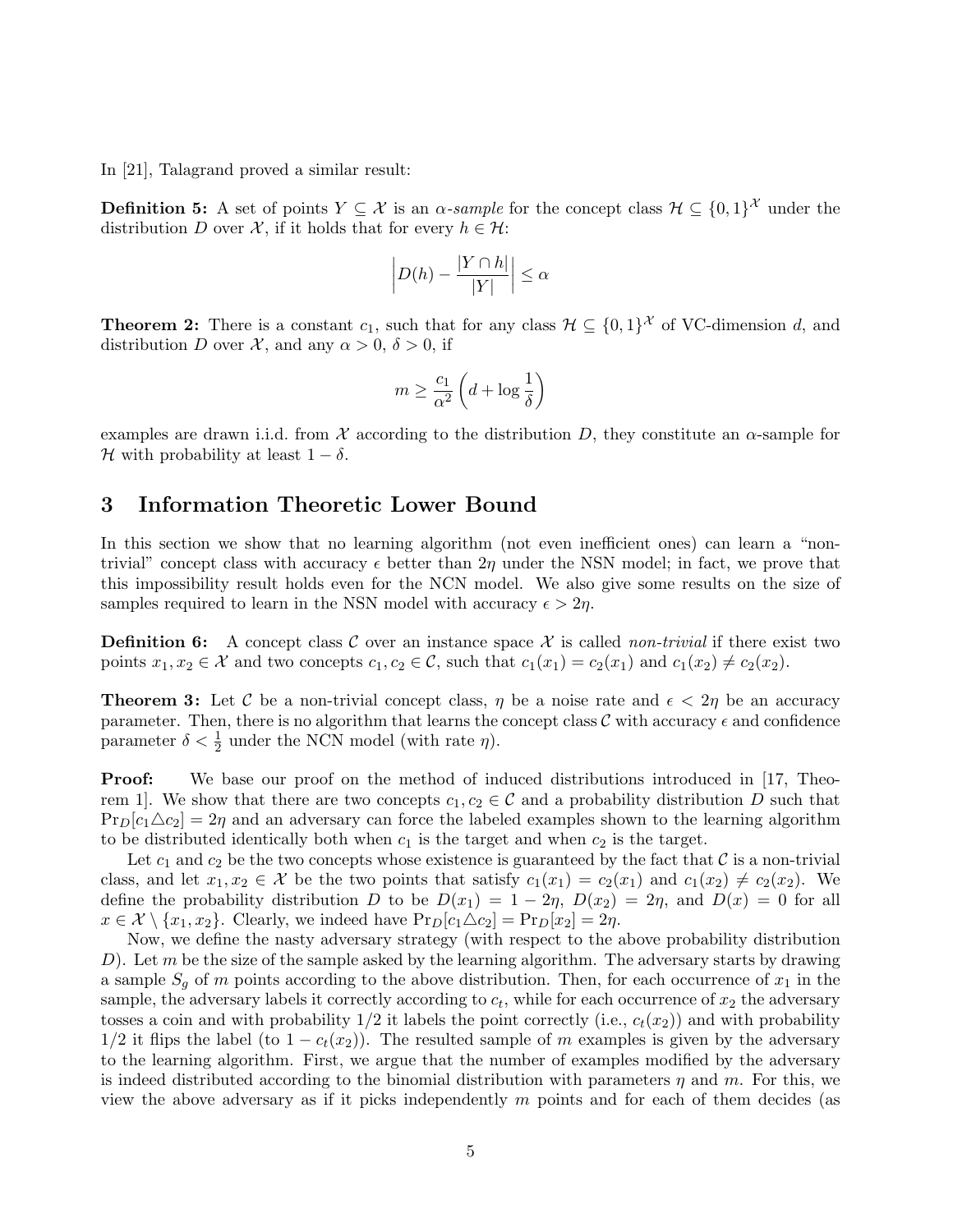In [21], Talagrand proved a similar result:

**Definition 5:** A set of points  $Y \subseteq \mathcal{X}$  is an  $\alpha$ -sample for the concept class  $\mathcal{H} \subseteq \{0,1\}^{\mathcal{X}}$  under the distribution D over X, if it holds that for every  $h \in \mathcal{H}$ :

$$
\left| D(h) - \frac{|Y \cap h|}{|Y|} \right| \le \alpha
$$

**Theorem 2:** There is a constant  $c_1$ , such that for any class  $\mathcal{H} \subseteq \{0,1\}^{\mathcal{X}}$  of VC-dimension d, and distribution D over X, and any  $\alpha > 0$ ,  $\delta > 0$ , if

$$
m \ge \frac{c_1}{\alpha^2} \left( d + \log \frac{1}{\delta} \right)
$$

examples are drawn i.i.d. from X according to the distribution D, they constitute an  $\alpha$ -sample for H with probability at least  $1 - \delta$ .

### 3 Information Theoretic Lower Bound

In this section we show that no learning algorithm (not even inefficient ones) can learn a "nontrivial" concept class with accuracy  $\epsilon$  better than  $2\eta$  under the NSN model; in fact, we prove that this impossibility result holds even for the NCN model. We also give some results on the size of samples required to learn in the NSN model with accuracy  $\epsilon > 2\eta$ .

**Definition 6:** A concept class C over an instance space X is called non-trivial if there exist two points  $x_1, x_2 \in \mathcal{X}$  and two concepts  $c_1, c_2 \in \mathcal{C}$ , such that  $c_1(x_1) = c_2(x_1)$  and  $c_1(x_2) \neq c_2(x_2)$ .

**Theorem 3:** Let C be a non-trivial concept class,  $\eta$  be a noise rate and  $\epsilon < 2\eta$  be an accuracy parameter. Then, there is no algorithm that learns the concept class  $\mathcal C$  with accuracy  $\epsilon$  and confidence parameter  $\delta < \frac{1}{2}$  under the NCN model (with rate  $\eta$ ).

**Proof:** We base our proof on the method of induced distributions introduced in [17, Theorem 1. We show that there are two concepts  $c_1, c_2 \in \mathcal{C}$  and a probability distribution D such that  $Pr_D[c_1\triangle c_2] = 2\eta$  and an adversary can force the labeled examples shown to the learning algorithm to be distributed identically both when  $c_1$  is the target and when  $c_2$  is the target.

Let  $c_1$  and  $c_2$  be the two concepts whose existence is guaranteed by the fact that  $\mathcal C$  is a non-trivial class, and let  $x_1, x_2 \in \mathcal{X}$  be the two points that satisfy  $c_1(x_1) = c_2(x_1)$  and  $c_1(x_2) \neq c_2(x_2)$ . We define the probability distribution D to be  $D(x_1) = 1 - 2\eta$ ,  $D(x_2) = 2\eta$ , and  $D(x) = 0$  for all  $x \in \mathcal{X} \setminus \{x_1, x_2\}.$  Clearly, we indeed have  $\Pr_D[c_1 \triangle c_2] = \Pr_D[x_2] = 2\eta.$ 

Now, we define the nasty adversary strategy (with respect to the above probability distribution D). Let m be the size of the sample asked by the learning algorithm. The adversary starts by drawing a sample  $S_g$  of m points according to the above distribution. Then, for each occurrence of  $x_1$  in the sample, the adversary labels it correctly according to  $c_t$ , while for each occurrence of  $x_2$  the adversary tosses a coin and with probability  $1/2$  it labels the point correctly (i.e.,  $c_t(x_2)$ ) and with probability  $1/2$  it flips the label (to  $1 - c_t(x_2)$ ). The resulted sample of m examples is given by the adversary to the learning algorithm. First, we argue that the number of examples modified by the adversary is indeed distributed according to the binomial distribution with parameters  $\eta$  and  $m$ . For this, we view the above adversary as if it picks independently  $m$  points and for each of them decides (as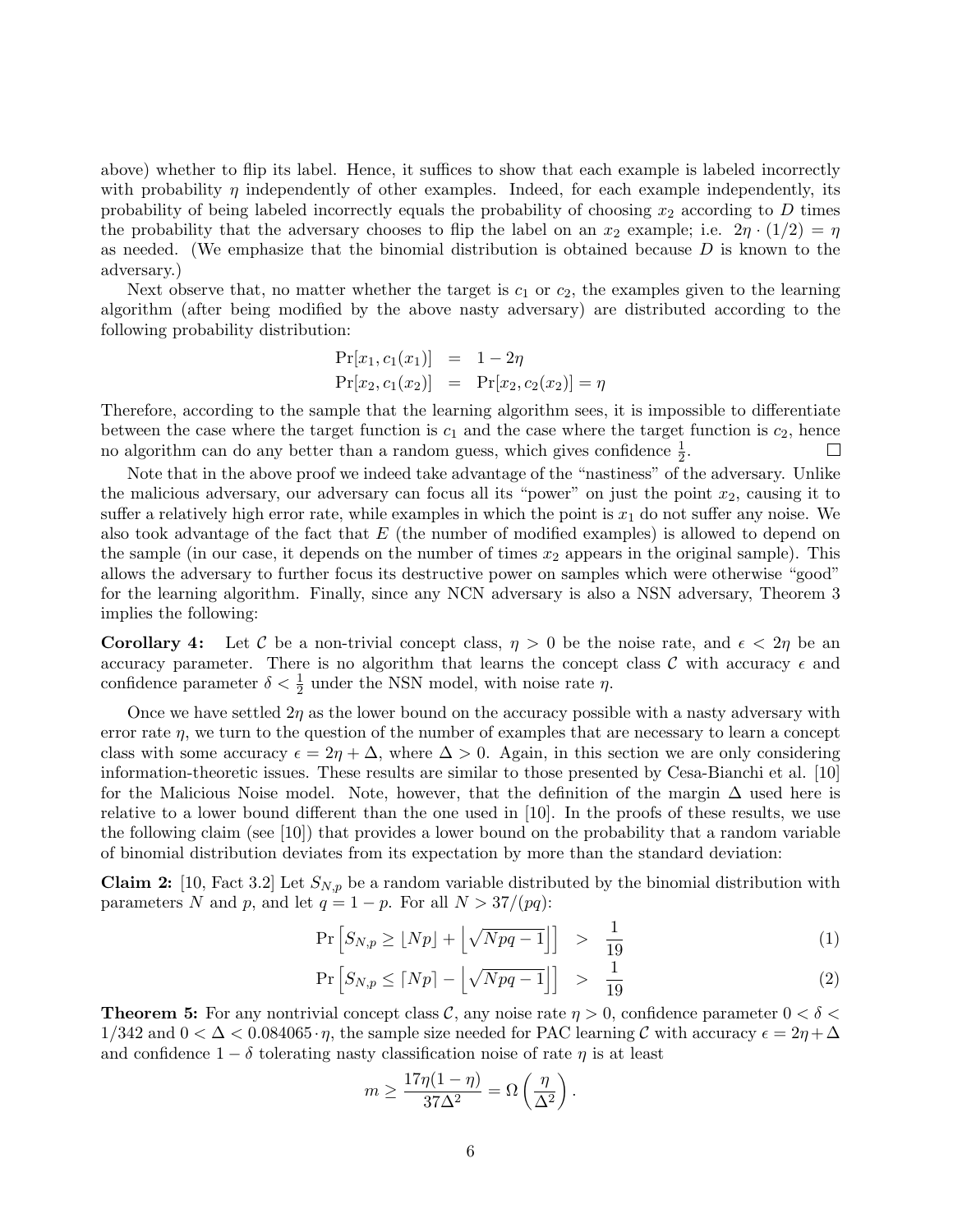above) whether to flip its label. Hence, it suffices to show that each example is labeled incorrectly with probability  $\eta$  independently of other examples. Indeed, for each example independently, its probability of being labeled incorrectly equals the probability of choosing  $x_2$  according to  $D$  times the probability that the adversary chooses to flip the label on an  $x_2$  example; i.e.  $2\eta \cdot (1/2) = \eta$ as needed. (We emphasize that the binomial distribution is obtained because  $D$  is known to the adversary.)

Next observe that, no matter whether the target is  $c_1$  or  $c_2$ , the examples given to the learning algorithm (after being modified by the above nasty adversary) are distributed according to the following probability distribution:

$$
Pr[x_1, c_1(x_1)] = 1 - 2\eta
$$
  
\n
$$
Pr[x_2, c_1(x_2)] = Pr[x_2, c_2(x_2)] = \eta
$$

Therefore, according to the sample that the learning algorithm sees, it is impossible to differentiate between the case where the target function is  $c_1$  and the case where the target function is  $c_2$ , hence no algorithm can do any better than a random guess, which gives confidence  $\frac{1}{2}$ .  $\Box$ 

Note that in the above proof we indeed take advantage of the "nastiness" of the adversary. Unlike the malicious adversary, our adversary can focus all its "power" on just the point  $x_2$ , causing it to suffer a relatively high error rate, while examples in which the point is  $x_1$  do not suffer any noise. We also took advantage of the fact that  $E$  (the number of modified examples) is allowed to depend on the sample (in our case, it depends on the number of times  $x_2$  appears in the original sample). This allows the adversary to further focus its destructive power on samples which were otherwise "good" for the learning algorithm. Finally, since any NCN adversary is also a NSN adversary, Theorem 3 implies the following:

**Corollary 4:** Let C be a non-trivial concept class,  $\eta > 0$  be the noise rate, and  $\epsilon < 2\eta$  be an accuracy parameter. There is no algorithm that learns the concept class  $\mathcal C$  with accuracy  $\epsilon$  and confidence parameter  $\delta < \frac{1}{2}$  under the NSN model, with noise rate  $\eta$ .

Once we have settled  $2\eta$  as the lower bound on the accuracy possible with a nasty adversary with error rate  $\eta$ , we turn to the question of the number of examples that are necessary to learn a concept class with some accuracy  $\epsilon = 2\eta + \Delta$ , where  $\Delta > 0$ . Again, in this section we are only considering information-theoretic issues. These results are similar to those presented by Cesa-Bianchi et al. [10] for the Malicious Noise model. Note, however, that the definition of the margin  $\Delta$  used here is relative to a lower bound different than the one used in [10]. In the proofs of these results, we use the following claim (see [10]) that provides a lower bound on the probability that a random variable of binomial distribution deviates from its expectation by more than the standard deviation:

**Claim 2:** [10, Fact 3.2] Let  $S_{N,p}$  be a random variable distributed by the binomial distribution with parameters N and p, and let  $q = 1 - p$ . For all  $N > 37/(pq)$ :

$$
\Pr\left[S_{N,p} \ge \lfloor Np \rfloor + \left\lfloor \sqrt{Npq - 1} \right\rfloor\right] > \frac{1}{19} \tag{1}
$$

$$
\Pr\left[S_{N,p} \le \lceil Np \rceil - \left\lfloor \sqrt{Npq - 1} \right\rfloor\right] \quad > \quad \frac{1}{19} \tag{2}
$$

**Theorem 5:** For any nontrivial concept class C, any noise rate  $\eta > 0$ , confidence parameter  $0 < \delta <$  $1/342$  and  $0 < \Delta < 0.084065 \cdot \eta$ , the sample size needed for PAC learning C with accuracy  $\epsilon = 2\eta + \Delta$ and confidence  $1 - \delta$  tolerating nasty classification noise of rate  $\eta$  is at least

$$
m \ge \frac{17\eta(1-\eta)}{37\Delta^2} = \Omega\left(\frac{\eta}{\Delta^2}\right).
$$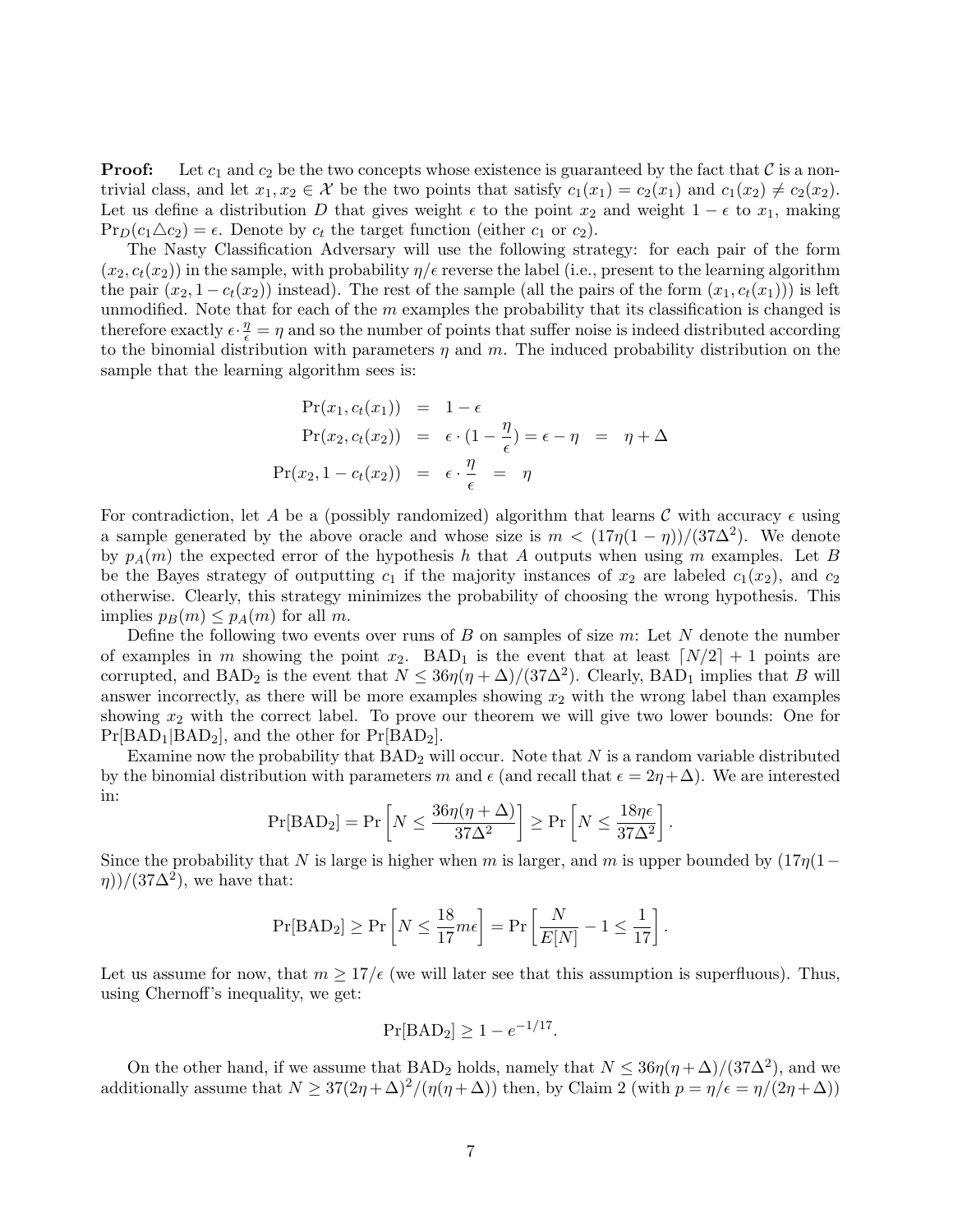**Proof:** Let  $c_1$  and  $c_2$  be the two concepts whose existence is guaranteed by the fact that C is a nontrivial class, and let  $x_1, x_2 \in \mathcal{X}$  be the two points that satisfy  $c_1(x_1) = c_2(x_1)$  and  $c_1(x_2) \neq c_2(x_2)$ . Let us define a distribution D that gives weight  $\epsilon$  to the point  $x_2$  and weight  $1 - \epsilon$  to  $x_1$ , making  $Pr_D(c_1 \triangle c_2) = \epsilon$ . Denote by  $c_t$  the target function (either  $c_1$  or  $c_2$ ).

The Nasty Classification Adversary will use the following strategy: for each pair of the form  $(x_2, c_t(x_2))$  in the sample, with probability  $\eta/\epsilon$  reverse the label (i.e., present to the learning algorithm the pair  $(x_2, 1 - c_t(x_2))$  instead). The rest of the sample (all the pairs of the form  $(x_1, c_t(x_1))$ ) is left unmodified. Note that for each of the  $m$  examples the probability that its classification is changed is therefore exactly  $\epsilon \cdot \frac{\eta}{\epsilon} = \eta$  and so the number of points that suffer noise is indeed distributed according to the binomial distribution with parameters  $\eta$  and  $m$ . The induced probability distribution on the sample that the learning algorithm sees is:

$$
Pr(x_1, c_t(x_1)) = 1 - \epsilon
$$
  
\n
$$
Pr(x_2, c_t(x_2)) = \epsilon \cdot (1 - \frac{\eta}{\epsilon}) = \epsilon - \eta = \eta + \Delta
$$
  
\n
$$
Pr(x_2, 1 - c_t(x_2)) = \epsilon \cdot \frac{\eta}{\epsilon} = \eta
$$

For contradiction, let A be a (possibly randomized) algorithm that learns C with accuracy  $\epsilon$  using a sample generated by the above oracle and whose size is  $m < (17\eta(1-\eta))/(37\Delta^2)$ . We denote by  $p_A(m)$  the expected error of the hypothesis h that A outputs when using m examples. Let B be the Bayes strategy of outputting  $c_1$  if the majority instances of  $x_2$  are labeled  $c_1(x_2)$ , and  $c_2$ otherwise. Clearly, this strategy minimizes the probability of choosing the wrong hypothesis. This implies  $p_B(m) \leq p_A(m)$  for all m.

Define the following two events over runs of  $B$  on samples of size  $m$ : Let  $N$  denote the number of examples in m showing the point  $x_2$ . BAD<sub>1</sub> is the event that at least  $\lceil N/2 \rceil + 1$  points are corrupted, and  $BAD_2$  is the event that  $N \leq 36\eta(\eta+\Delta)/(37\Delta^2)$ . Clearly,  $BAD_1$  implies that B will answer incorrectly, as there will be more examples showing  $x_2$  with the wrong label than examples showing  $x_2$  with the correct label. To prove our theorem we will give two lower bounds: One for  $Pr[BAD_1|BAD_2]$ , and the other for  $Pr[BAD_2]$ .

Examine now the probability that  $BAD_2$  will occur. Note that N is a random variable distributed by the binomial distribution with parameters m and  $\epsilon$  (and recall that  $\epsilon = 2\eta + \Delta$ ). We are interested in:  $\overline{a}$  $\overline{a}$ 

$$
\Pr[\text{BAD}_2] = \Pr\left[N \le \frac{36\eta(\eta + \Delta)}{37\Delta^2}\right] \ge \Pr\left[N \le \frac{18\eta\epsilon}{37\Delta^2}\right].
$$

Since the probability that N is large is higher when m is larger, and m is upper bounded by  $(17n(1−$  $(\eta)$ /(37 $\Delta^2$ ), we have that:

$$
\Pr[\text{BAD}_2] \ge \Pr\left[N \le \frac{18}{17}m\epsilon\right] = \Pr\left[\frac{N}{E[N]} - 1 \le \frac{1}{17}\right].
$$

Let us assume for now, that  $m \geq 17/\epsilon$  (we will later see that this assumption is superfluous). Thus, using Chernoff's inequality, we get:

$$
Pr[BAD_2] \ge 1 - e^{-1/17}.
$$

On the other hand, if we assume that BAD<sub>2</sub> holds, namely that  $N \leq 36\eta(\eta+\Delta)/(37\Delta^2)$ , and we additionally assume that  $N \geq 37(2\eta+\Delta)^2/(\eta(\eta+\Delta))$  then, by Claim 2 (with  $p = \eta/\epsilon = \eta/(2\eta+\Delta)$ )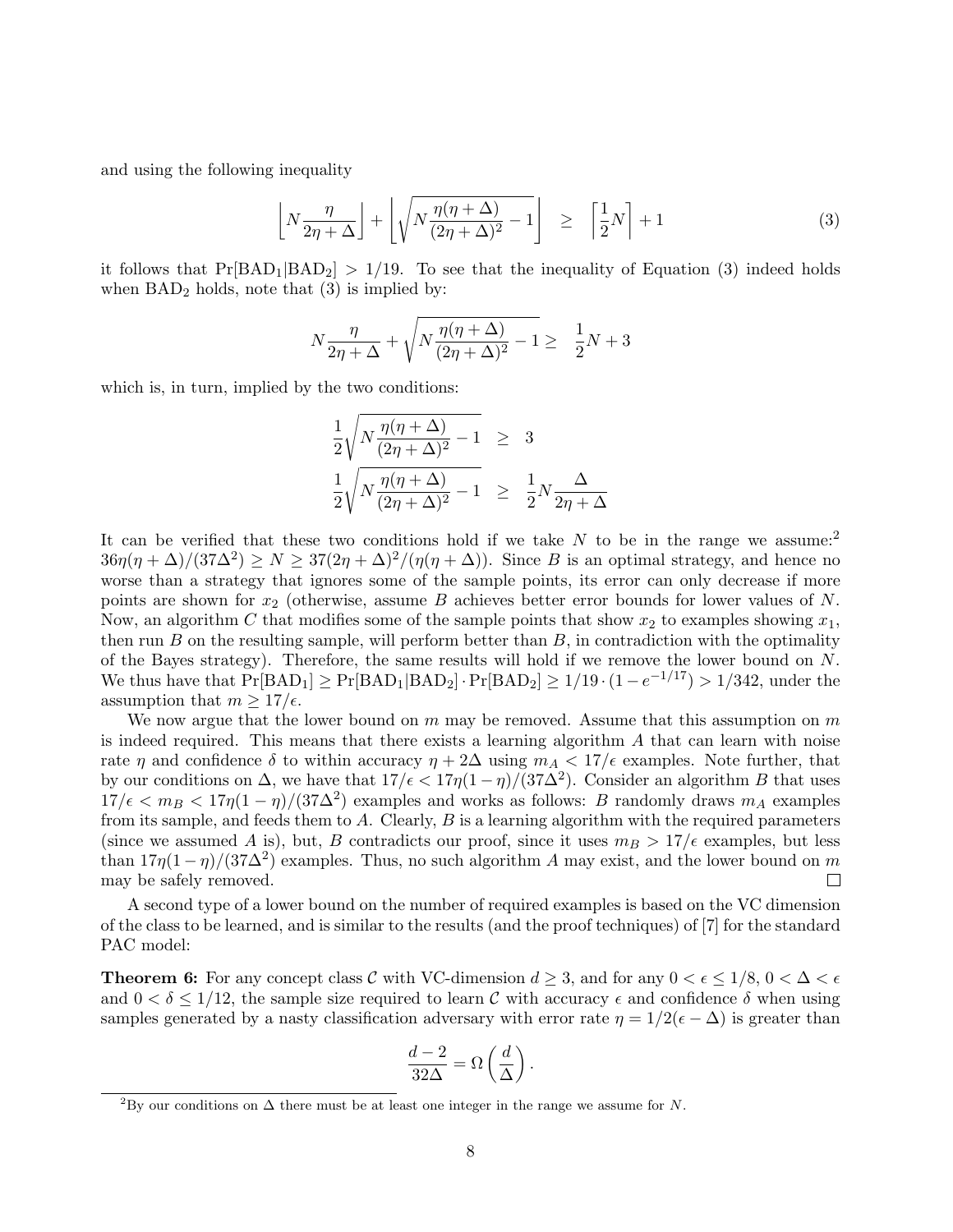and using the following inequality

$$
\left[ N \frac{\eta}{2\eta + \Delta} \right] + \left[ \sqrt{N \frac{\eta(\eta + \Delta)}{(2\eta + \Delta)^2} - 1} \right] \ge \left[ \frac{1}{2} N \right] + 1 \tag{3}
$$

it follows that  $Pr[BAD_1|BAD_2] > 1/19$ . To see that the inequality of Equation (3) indeed holds when  $BAD_2$  holds, note that  $(3)$  is implied by:

$$
N\frac{\eta}{2\eta+\Delta} + \sqrt{N\frac{\eta(\eta+\Delta)}{(2\eta+\Delta)^2} - 1} \ge \frac{1}{2}N + 3
$$

which is, in turn, implied by the two conditions:

$$
\frac{1}{2}\sqrt{N\frac{\eta(\eta+\Delta)}{(2\eta+\Delta)^2}-1} \geq 3
$$
  

$$
\frac{1}{2}\sqrt{N\frac{\eta(\eta+\Delta)}{(2\eta+\Delta)^2}-1} \geq \frac{1}{2}N\frac{\Delta}{2\eta+\Delta}
$$

It can be verified that these two conditions hold if we take  $N$  to be in the range we assume:<sup>2</sup>  $36\eta(\eta+\Delta)/(37\Delta^2) \ge N \ge 37(2\eta+\Delta)^2/(\eta(\eta+\Delta))$ . Since B is an optimal strategy, and hence no worse than a strategy that ignores some of the sample points, its error can only decrease if more points are shown for  $x_2$  (otherwise, assume B achieves better error bounds for lower values of N. Now, an algorithm C that modifies some of the sample points that show  $x_2$  to examples showing  $x_1$ , then run  $B$  on the resulting sample, will perform better than  $B$ , in contradiction with the optimality of the Bayes strategy). Therefore, the same results will hold if we remove the lower bound on  $N$ . We thus have that  $Pr[BAD_1] \geq Pr[BAD_1|BAD_2] \cdot Pr[BAD_2] \geq 1/19 \cdot (1 - e^{-1/17}) > 1/342$ , under the assumption that  $m \geq 17/\epsilon$ .

We now argue that the lower bound on  $m$  may be removed. Assume that this assumption on  $m$ is indeed required. This means that there exists a learning algorithm  $A$  that can learn with noise rate  $\eta$  and confidence  $\delta$  to within accuracy  $\eta + 2\Delta$  using  $m_A < 17/\epsilon$  examples. Note further, that by our conditions on  $\Delta$ , we have that  $17/\epsilon < 17\eta(1-\eta)/(37\Delta^2)$ . Consider an algorithm B that uses  $17/\epsilon < m_B < 17\eta(1-\eta)/(37\Delta^2)$  examples and works as follows: B randomly draws  $m_A$  examples from its sample, and feeds them to  $A$ . Clearly,  $B$  is a learning algorithm with the required parameters (since we assumed A is), but, B contradicts our proof, since it uses  $m_B > 17/\epsilon$  examples, but less than  $17\eta(1-\eta)/(37\Delta^2)$  examples. Thus, no such algorithm A may exist, and the lower bound on m may be safely removed.  $\Box$ 

A second type of a lower bound on the number of required examples is based on the VC dimension of the class to be learned, and is similar to the results (and the proof techniques) of [7] for the standard PAC model:

**Theorem 6:** For any concept class C with VC-dimension  $d \geq 3$ , and for any  $0 < \epsilon \leq 1/8$ ,  $0 < \Delta < \epsilon$ and  $0 < \delta \leq 1/12$ , the sample size required to learn C with accuracy  $\epsilon$  and confidence  $\delta$  when using samples generated by a nasty classification adversary with error rate  $\eta = 1/2(\epsilon - \Delta)$  is greater than

$$
\frac{d-2}{32\Delta} = \Omega\left(\frac{d}{\Delta}\right).
$$

<sup>&</sup>lt;sup>2</sup>By our conditions on  $\Delta$  there must be at least one integer in the range we assume for N.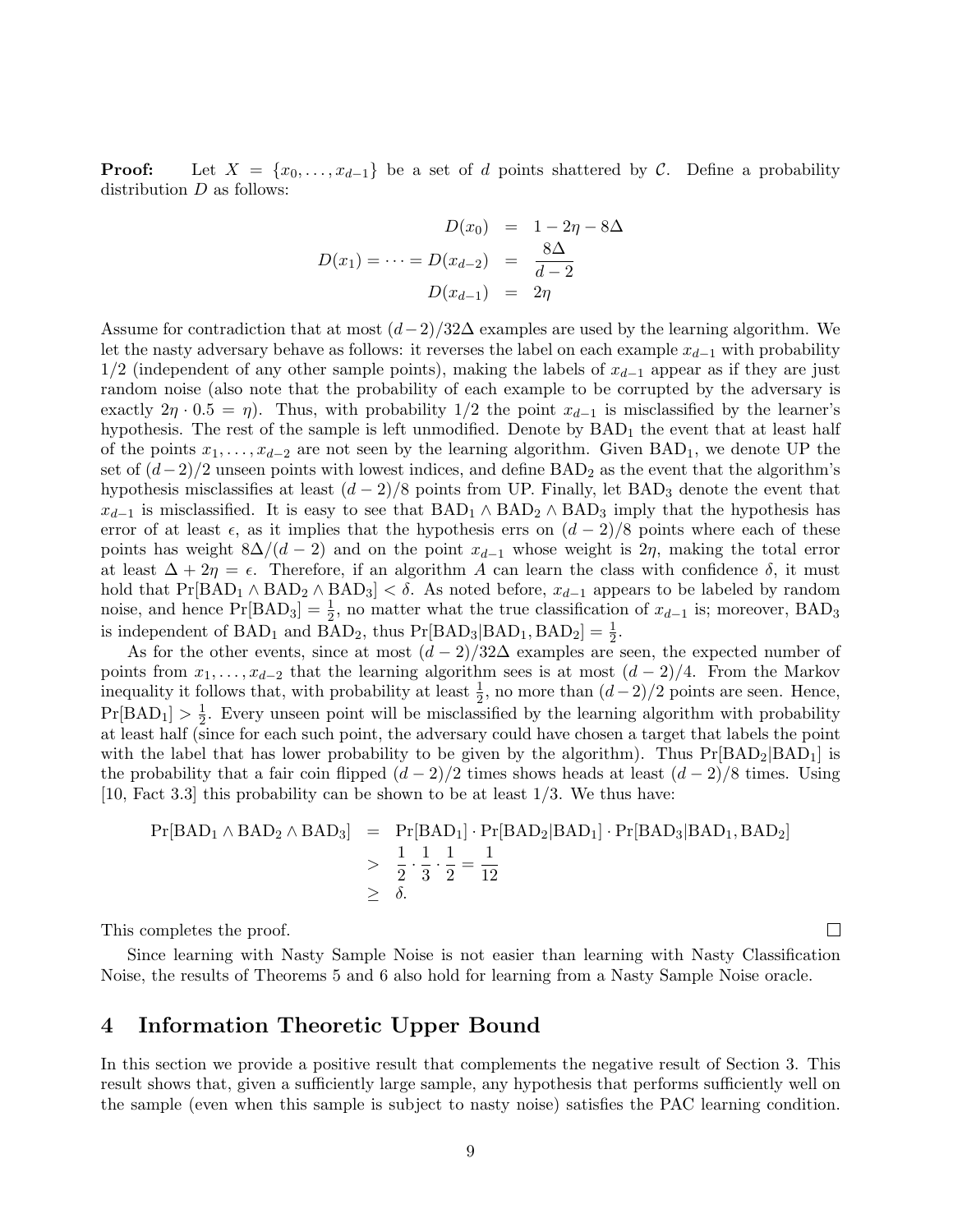**Proof:** Let  $X = \{x_0, \ldots, x_{d-1}\}$  be a set of d points shattered by C. Define a probability distribution  $D$  as follows:

$$
D(x_0) = 1 - 2\eta - 8\Delta
$$

$$
D(x_1) = \dots = D(x_{d-2}) = \frac{8\Delta}{d-2}
$$

$$
D(x_{d-1}) = 2\eta
$$

Assume for contradiction that at most  $(d-2)/32\Delta$  examples are used by the learning algorithm. We let the nasty adversary behave as follows: it reverses the label on each example  $x_{d-1}$  with probability  $1/2$  (independent of any other sample points), making the labels of  $x_{d-1}$  appear as if they are just random noise (also note that the probability of each example to be corrupted by the adversary is exactly  $2\eta \cdot 0.5 = \eta$ ). Thus, with probability 1/2 the point  $x_{d-1}$  is misclassified by the learner's hypothesis. The rest of the sample is left unmodified. Denote by  $BAD_1$  the event that at least half of the points  $x_1, \ldots, x_{d-2}$  are not seen by the learning algorithm. Given BAD<sub>1</sub>, we denote UP the set of  $(d-2)/2$  unseen points with lowest indices, and define  $BAD_2$  as the event that the algorithm's hypothesis misclassifies at least  $(d-2)/8$  points from UP. Finally, let BAD<sub>3</sub> denote the event that  $x_{d-1}$  is misclassified. It is easy to see that BAD<sub>1</sub> ∧ BAD<sub>2</sub> ∧ BAD<sub>3</sub> imply that the hypothesis has error of at least  $\epsilon$ , as it implies that the hypothesis errs on  $(d-2)/8$  points where each of these points has weight  $8\Delta/(d-2)$  and on the point  $x_{d-1}$  whose weight is  $2\eta$ , making the total error at least  $\Delta + 2\eta = \epsilon$ . Therefore, if an algorithm A can learn the class with confidence  $\delta$ , it must hold that  $Pr[BAD_1 \wedge BAD_2 \wedge BAD_3] < \delta$ . As noted before,  $x_{d-1}$  appears to be labeled by random noise, and hence Pr[BAD<sub>3</sub>] =  $\frac{1}{2}$ , no matter what the true classification of  $x_{d-1}$  is; moreover, BAD<sub>3</sub> is independent of BAD<sub>1</sub> and BAD<sub>2</sub>, thus  $Pr[BAD_3|BAD_1,BAD_2] = \frac{1}{2}$ .

As for the other events, since at most  $(d-2)/32\Delta$  examples are seen, the expected number of points from  $x_1, \ldots, x_{d-2}$  that the learning algorithm sees is at most  $(d-2)/4$ . From the Markov inequality it follows that, with probability at least  $\frac{1}{2}$ , no more than  $(d-2)/2$  points are seen. Hence,  $Pr[BAD_1] > \frac{1}{2}$  $\frac{1}{2}$ . Every unseen point will be misclassified by the learning algorithm with probability at least half (since for each such point, the adversary could have chosen a target that labels the point with the label that has lower probability to be given by the algorithm). Thus  $Pr[BAD_2|BAD_1]$  is the probability that a fair coin flipped  $(d-2)/2$  times shows heads at least  $(d-2)/8$  times. Using  $[10, \text{Fact } 3.3]$  this probability can be shown to be at least  $1/3$ . We thus have:

$$
Pr[BAD_1 \land BAD_2 \land BAD_3] = Pr[BAD_1] \cdot Pr[BAD_2|BAD_1] \cdot Pr[BAD_3|BAD_1,BAD_2] \n>  $\frac{1}{2} \cdot \frac{1}{3} \cdot \frac{1}{2} = \frac{1}{12}$ \n
$$
\geq \delta.
$$
$$

This completes the proof.

Since learning with Nasty Sample Noise is not easier than learning with Nasty Classification Noise, the results of Theorems 5 and 6 also hold for learning from a Nasty Sample Noise oracle.

### 4 Information Theoretic Upper Bound

In this section we provide a positive result that complements the negative result of Section 3. This result shows that, given a sufficiently large sample, any hypothesis that performs sufficiently well on the sample (even when this sample is subject to nasty noise) satisfies the PAC learning condition.

 $\Box$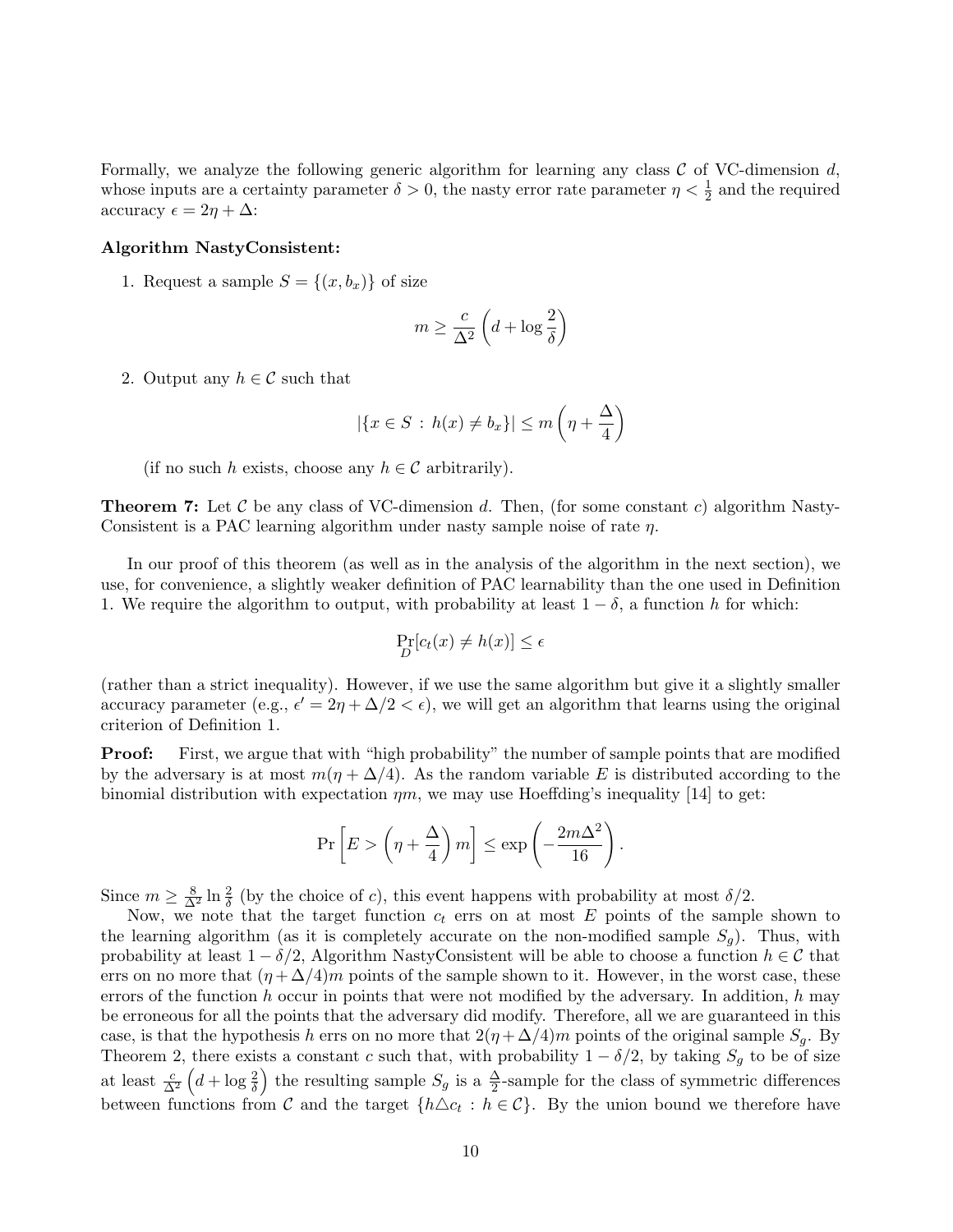Formally, we analyze the following generic algorithm for learning any class  $\mathcal C$  of VC-dimension d, whose inputs are a certainty parameter  $\delta > 0$ , the nasty error rate parameter  $\eta < \frac{1}{2}$  and the required accuracy  $\epsilon = 2\eta + \Delta$ :

#### Algorithm NastyConsistent:

1. Request a sample  $S = \{(x, b_x)\}\$ of size

$$
m \ge \frac{c}{\Delta^2} \left( d + \log \frac{2}{\delta} \right)
$$

2. Output any  $h \in \mathcal{C}$  such that

$$
|\{x \in S \,:\, h(x) \neq b_x\}| \le m\left(\eta + \frac{\Delta}{4}\right)
$$

(if no such h exists, choose any  $h \in \mathcal{C}$  arbitrarily).

**Theorem 7:** Let C be any class of VC-dimension d. Then, (for some constant c) algorithm Nasty-Consistent is a PAC learning algorithm under nasty sample noise of rate  $\eta$ .

In our proof of this theorem (as well as in the analysis of the algorithm in the next section), we use, for convenience, a slightly weaker definition of PAC learnability than the one used in Definition 1. We require the algorithm to output, with probability at least  $1 - \delta$ , a function h for which:

$$
\Pr_D[c_t(x) \neq h(x)] \le \epsilon
$$

(rather than a strict inequality). However, if we use the same algorithm but give it a slightly smaller accuracy parameter (e.g.,  $\epsilon' = 2\eta + \Delta/2 < \epsilon$ ), we will get an algorithm that learns using the original criterion of Definition 1.

**Proof:** First, we argue that with "high probability" the number of sample points that are modified by the adversary is at most  $m(\eta + \Delta/4)$ . As the random variable E is distributed according to the binomial distribution with expectation  $\eta m$ , we may use Hoeffding's inequality [14] to get:

$$
\Pr\left[E > \left(\eta + \frac{\Delta}{4}\right)m\right] \le \exp\left(-\frac{2m\Delta^2}{16}\right).
$$

Since  $m \geq \frac{8}{\Delta^2} \ln \frac{2}{\delta}$  (by the choice of c), this event happens with probability at most  $\delta/2$ .

Now, we note that the target function  $c_t$  errs on at most E points of the sample shown to the learning algorithm (as it is completely accurate on the non-modified sample  $S_q$ ). Thus, with probability at least  $1 - \delta/2$ , Algorithm NastyConsistent will be able to choose a function  $h \in \mathcal{C}$  that errs on no more that  $(\eta + \Delta/4)m$  points of the sample shown to it. However, in the worst case, these errors of the function h occur in points that were not modified by the adversary. In addition, h may be erroneous for all the points that the adversary did modify. Therefore, all we are guaranteed in this case, is that the hypothesis h errs on no more that  $2(\eta + \Delta/4)m$  points of the original sample  $S_q$ . By Theorem 2, there exists a constant c such that, with probability  $1 - \delta/2$ , by taking  $S_g$  to be of size at least  $\frac{c}{\Delta^2}$   $\left(d + \log \frac{2}{\delta}\right)$  the resulting sample  $S_g$  is a  $\frac{\Delta}{2}$ -sample for the class of symmetric differences between functions from C and the target  $\{h \triangle c_t : h \in C\}$ . By the union bound we therefore have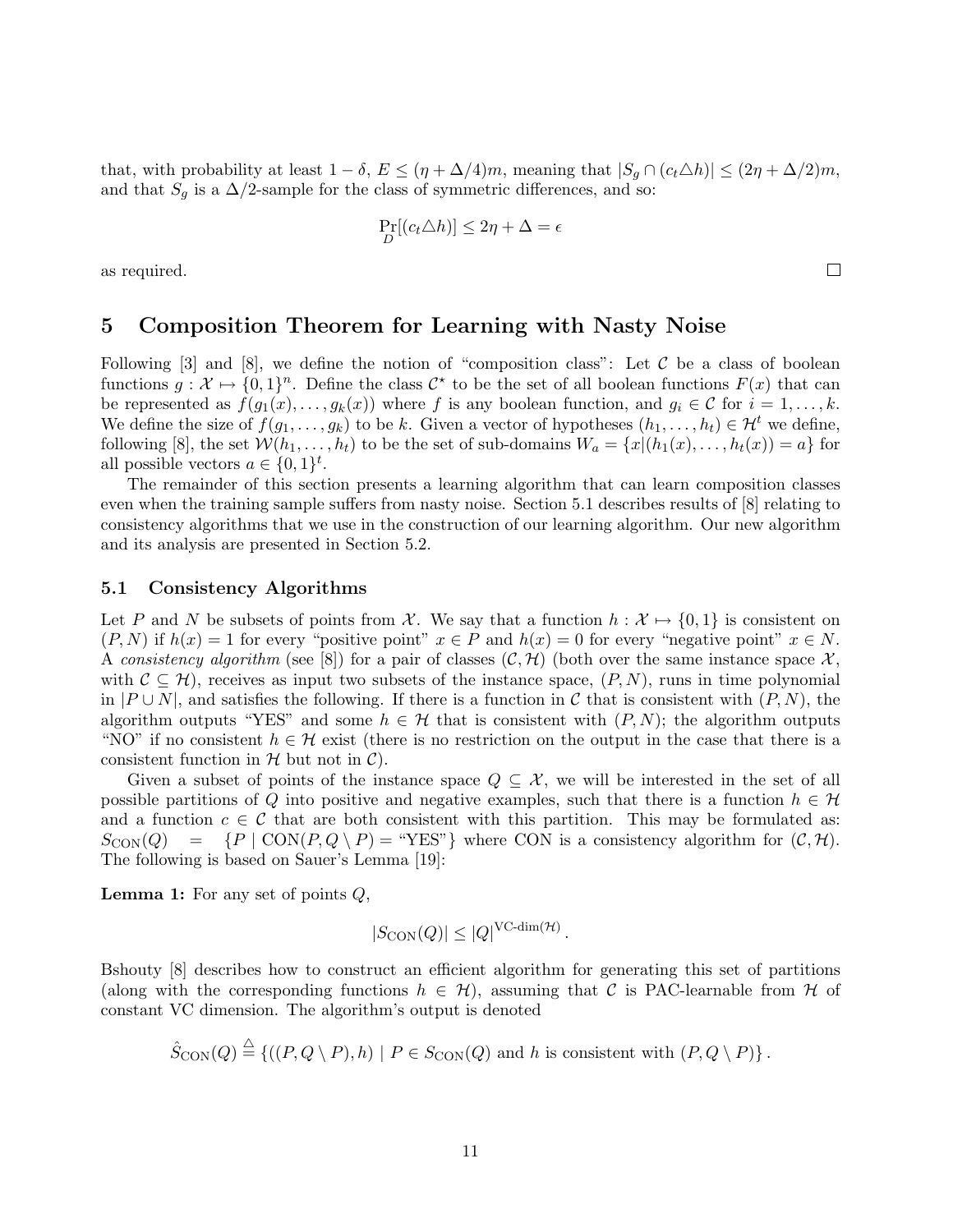that, with probability at least  $1 - \delta$ ,  $E \leq (\eta + \Delta/4)m$ , meaning that  $|S_g \cap (c_t \Delta h)| \leq (2\eta + \Delta/2)m$ , and that  $S_g$  is a  $\Delta/2$ -sample for the class of symmetric differences, and so:

$$
\Pr_D[(c_t \triangle h)] \le 2\eta + \Delta = \epsilon
$$

as required.

### 5 Composition Theorem for Learning with Nasty Noise

Following  $[3]$  and  $[8]$ , we define the notion of "composition class": Let C be a class of boolean functions  $g: \mathcal{X} \mapsto \{0,1\}^n$ . Define the class  $\mathcal{C}^*$  to be the set of all boolean functions  $F(x)$  that can be represented as  $f(g_1(x), \ldots, g_k(x))$  where f is any boolean function, and  $g_i \in \mathcal{C}$  for  $i = 1, \ldots, k$ . We define the size of  $f(g_1, \ldots, g_k)$  to be k. Given a vector of hypotheses  $(h_1, \ldots, h_t) \in \mathcal{H}^t$  we define, following [8], the set  $W(h_1, \ldots, h_t)$  to be the set of sub-domains  $W_a = \{x | (h_1(x), \ldots, h_t(x)) = a\}$  for all possible vectors  $a \in \{0,1\}^t$ .

The remainder of this section presents a learning algorithm that can learn composition classes even when the training sample suffers from nasty noise. Section 5.1 describes results of [8] relating to consistency algorithms that we use in the construction of our learning algorithm. Our new algorithm and its analysis are presented in Section 5.2.

#### 5.1 Consistency Algorithms

Let P and N be subsets of points from X. We say that a function  $h : \mathcal{X} \mapsto \{0, 1\}$  is consistent on  $(P, N)$  if  $h(x) = 1$  for every "positive point"  $x \in P$  and  $h(x) = 0$  for every "negative point"  $x \in N$ . A consistency algorithm (see [8]) for a pair of classes  $(C, \mathcal{H})$  (both over the same instance space X, with  $\mathcal{C} \subseteq \mathcal{H}$ , receives as input two subsets of the instance space,  $(P, N)$ , runs in time polynomial in  $|P \cup N|$ , and satisfies the following. If there is a function in C that is consistent with  $(P, N)$ , the algorithm outputs "YES" and some  $h \in \mathcal{H}$  that is consistent with  $(P, N)$ ; the algorithm outputs "NO" if no consistent  $h \in \mathcal{H}$  exist (there is no restriction on the output in the case that there is a consistent function in  $H$  but not in  $C$ ).

Given a subset of points of the instance space  $Q \subseteq \mathcal{X}$ , we will be interested in the set of all possible partitions of Q into positive and negative examples, such that there is a function  $h \in \mathcal{H}$ and a function  $c \in \mathcal{C}$  that are both consistent with this partition. This may be formulated as:  $S_{\text{CON}}(Q) = \{P \mid \text{CON}(P, Q \setminus P) = \text{``YES''}\}$  where CON is a consistency algorithm for  $(C, \mathcal{H})$ . The following is based on Sauer's Lemma [19]:

**Lemma 1:** For any set of points  $Q$ ,

$$
|S_{\text{CON}}(Q)| \leq |Q|^{\text{VC-dim}(\mathcal{H})}.
$$

Bshouty [8] describes how to construct an efficient algorithm for generating this set of partitions (along with the corresponding functions  $h \in \mathcal{H}$ ), assuming that C is PAC-learnable from H of constant VC dimension. The algorithm's output is denoted

$$
\hat{S}_{\text{CON}}(Q) \stackrel{\triangle}{=} \left\{ ((P, Q \setminus P), h) \mid P \in S_{\text{CON}}(Q) \text{ and } h \text{ is consistent with } (P, Q \setminus P) \right\}.
$$

 $\Box$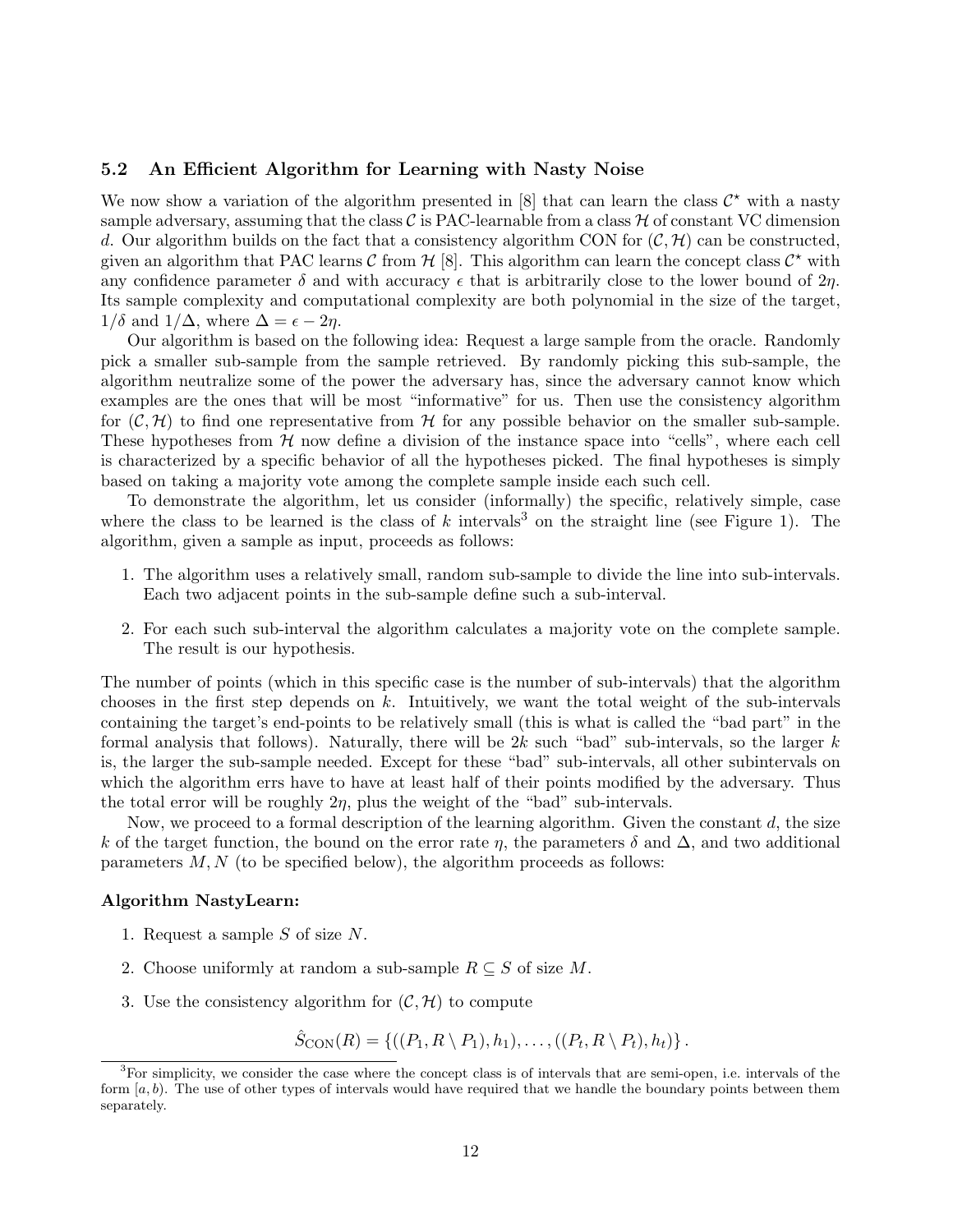#### 5.2 An Efficient Algorithm for Learning with Nasty Noise

We now show a variation of the algorithm presented in [8] that can learn the class  $\mathcal{C}^*$  with a nasty sample adversary, assuming that the class  $\mathcal C$  is PAC-learnable from a class  $\mathcal H$  of constant VC dimension d. Our algorithm builds on the fact that a consistency algorithm CON for  $(C, \mathcal{H})$  can be constructed, given an algorithm that PAC learns  $C$  from  $H$  [8]. This algorithm can learn the concept class  $C^*$  with any confidence parameter  $\delta$  and with accuracy  $\epsilon$  that is arbitrarily close to the lower bound of  $2\eta$ . Its sample complexity and computational complexity are both polynomial in the size of the target,  $1/\delta$  and  $1/\Delta$ , where  $\Delta = \epsilon - 2\eta$ .

Our algorithm is based on the following idea: Request a large sample from the oracle. Randomly pick a smaller sub-sample from the sample retrieved. By randomly picking this sub-sample, the algorithm neutralize some of the power the adversary has, since the adversary cannot know which examples are the ones that will be most "informative" for us. Then use the consistency algorithm for  $(C, \mathcal{H})$  to find one representative from H for any possible behavior on the smaller sub-sample. These hypotheses from  $H$  now define a division of the instance space into "cells", where each cell is characterized by a specific behavior of all the hypotheses picked. The final hypotheses is simply based on taking a majority vote among the complete sample inside each such cell.

To demonstrate the algorithm, let us consider (informally) the specific, relatively simple, case where the class to be learned is the class of k intervals<sup>3</sup> on the straight line (see Figure 1). The algorithm, given a sample as input, proceeds as follows:

- 1. The algorithm uses a relatively small, random sub-sample to divide the line into sub-intervals. Each two adjacent points in the sub-sample define such a sub-interval.
- 2. For each such sub-interval the algorithm calculates a majority vote on the complete sample. The result is our hypothesis.

The number of points (which in this specific case is the number of sub-intervals) that the algorithm chooses in the first step depends on  $k$ . Intuitively, we want the total weight of the sub-intervals containing the target's end-points to be relatively small (this is what is called the "bad part" in the formal analysis that follows). Naturally, there will be  $2k$  such "bad" sub-intervals, so the larger k is, the larger the sub-sample needed. Except for these "bad" sub-intervals, all other subintervals on which the algorithm errs have to have at least half of their points modified by the adversary. Thus the total error will be roughly  $2\eta$ , plus the weight of the "bad" sub-intervals.

Now, we proceed to a formal description of the learning algorithm. Given the constant  $d$ , the size k of the target function, the bound on the error rate  $\eta$ , the parameters  $\delta$  and  $\Delta$ , and two additional parameters  $M, N$  (to be specified below), the algorithm proceeds as follows:

#### Algorithm NastyLearn:

- 1. Request a sample S of size N.
- 2. Choose uniformly at random a sub-sample  $R \subseteq S$  of size M.
- 3. Use the consistency algorithm for  $(C, \mathcal{H})$  to compute

 $\hat{S}_{\text{CON}}(R) = \{((P_1, R \setminus P_1), h_1), \dots, ((P_t, R \setminus P_t), h_t)\}.$ 

<sup>&</sup>lt;sup>3</sup>For simplicity, we consider the case where the concept class is of intervals that are semi-open, i.e. intervals of the form  $[a, b]$ . The use of other types of intervals would have required that we handle the boundary points between them separately.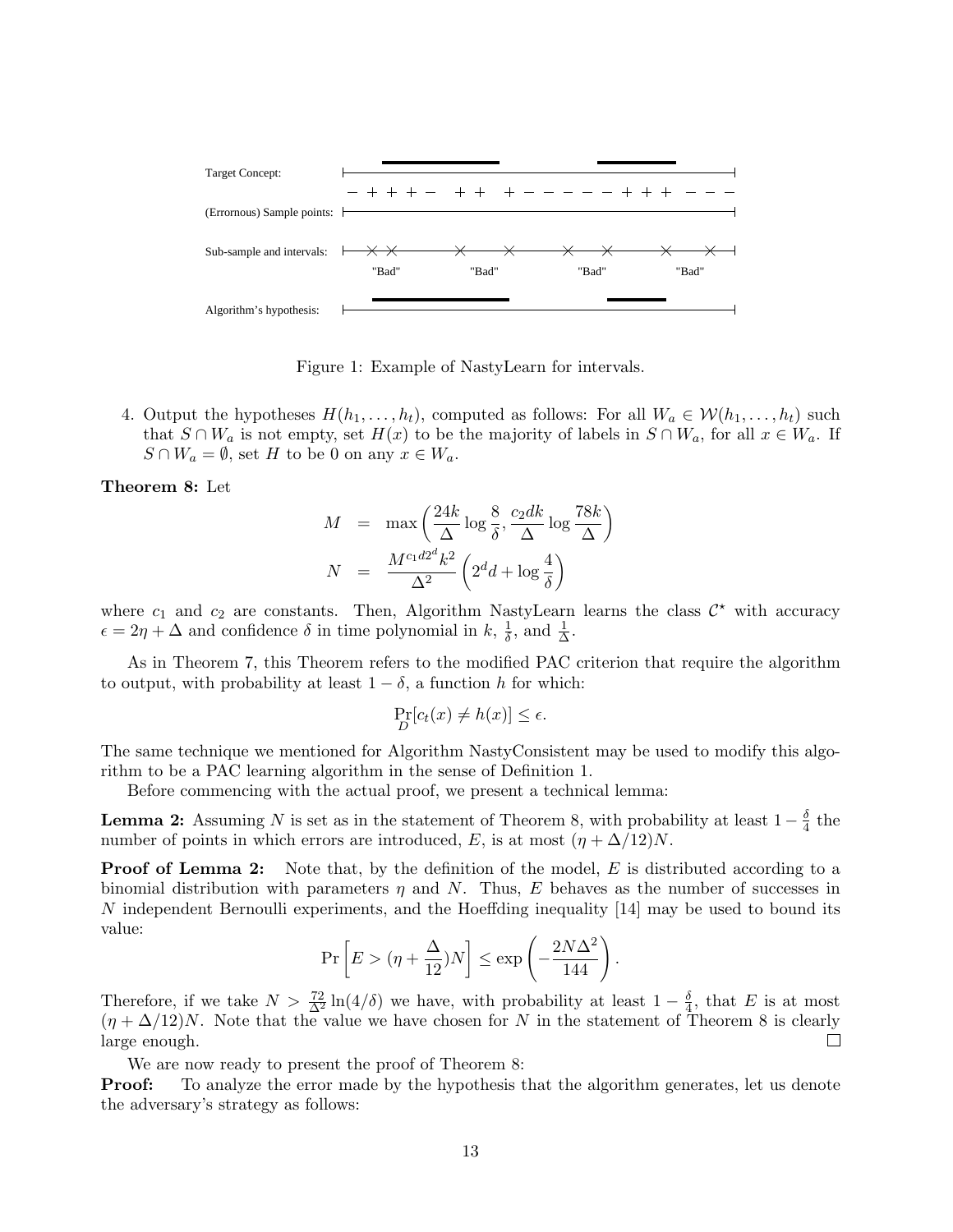

Figure 1: Example of NastyLearn for intervals.

4. Output the hypotheses  $H(h_1, \ldots, h_t)$ , computed as follows: For all  $W_a \in \mathcal{W}(h_1, \ldots, h_t)$  such that  $S \cap W_a$  is not empty, set  $H(x)$  to be the majority of labels in  $S \cap W_a$ , for all  $x \in W_a$ . If  $S \cap W_a = \emptyset$ , set H to be 0 on any  $x \in W_a$ .

Theorem 8: Let

$$
M = \max \left( \frac{24k}{\Delta} \log \frac{8}{\delta}, \frac{c_2 dk}{\Delta} \log \frac{78k}{\Delta} \right)
$$

$$
N = \frac{M^{c_1 d_2 d} k^2}{\Delta^2} \left( 2^d d + \log \frac{4}{\delta} \right)
$$

where  $c_1$  and  $c_2$  are constants. Then, Algorithm NastyLearn learns the class  $\mathcal{C}^*$  with accuracy  $\epsilon = 2\eta + \Delta$  and confidence  $\delta$  in time polynomial in  $k, \frac{1}{\delta}$  $\frac{1}{\delta}$ , and  $\frac{1}{\Delta}$ .

As in Theorem 7, this Theorem refers to the modified PAC criterion that require the algorithm to output, with probability at least  $1 - \delta$ , a function h for which:

$$
\Pr_D[c_t(x) \neq h(x)] \le \epsilon.
$$

The same technique we mentioned for Algorithm NastyConsistent may be used to modify this algorithm to be a PAC learning algorithm in the sense of Definition 1.

Before commencing with the actual proof, we present a technical lemma:

**Lemma 2:** Assuming N is set as in the statement of Theorem 8, with probability at least  $1-\frac{\delta}{4}$  $rac{\delta}{4}$  the number of points in which errors are introduced, E, is at most  $(\eta + \Delta/12)N$ .

**Proof of Lemma 2:** Note that, by the definition of the model,  $E$  is distributed according to a binomial distribution with parameters  $\eta$  and N. Thus, E behaves as the number of successes in N independent Bernoulli experiments, and the Hoeffding inequality [14] may be used to bound its value:  $\overline{a}$ 

$$
\Pr\left[E > (\eta + \frac{\Delta}{12})N\right] \le \exp\left(-\frac{2N\Delta^2}{144}\right).
$$

Therefore, if we take  $N > \frac{72}{\Delta^2} \ln(4/\delta)$  we have, with probability at least  $1-\frac{\delta}{4}$  $\frac{\delta}{4}$ , that E is at most  $(\eta + \Delta/12)N$ . Note that the value we have chosen for N in the statement of Theorem 8 is clearly  $\Box$ large enough.

We are now ready to present the proof of Theorem 8:

**Proof:** To analyze the error made by the hypothesis that the algorithm generates, let us denote the adversary's strategy as follows: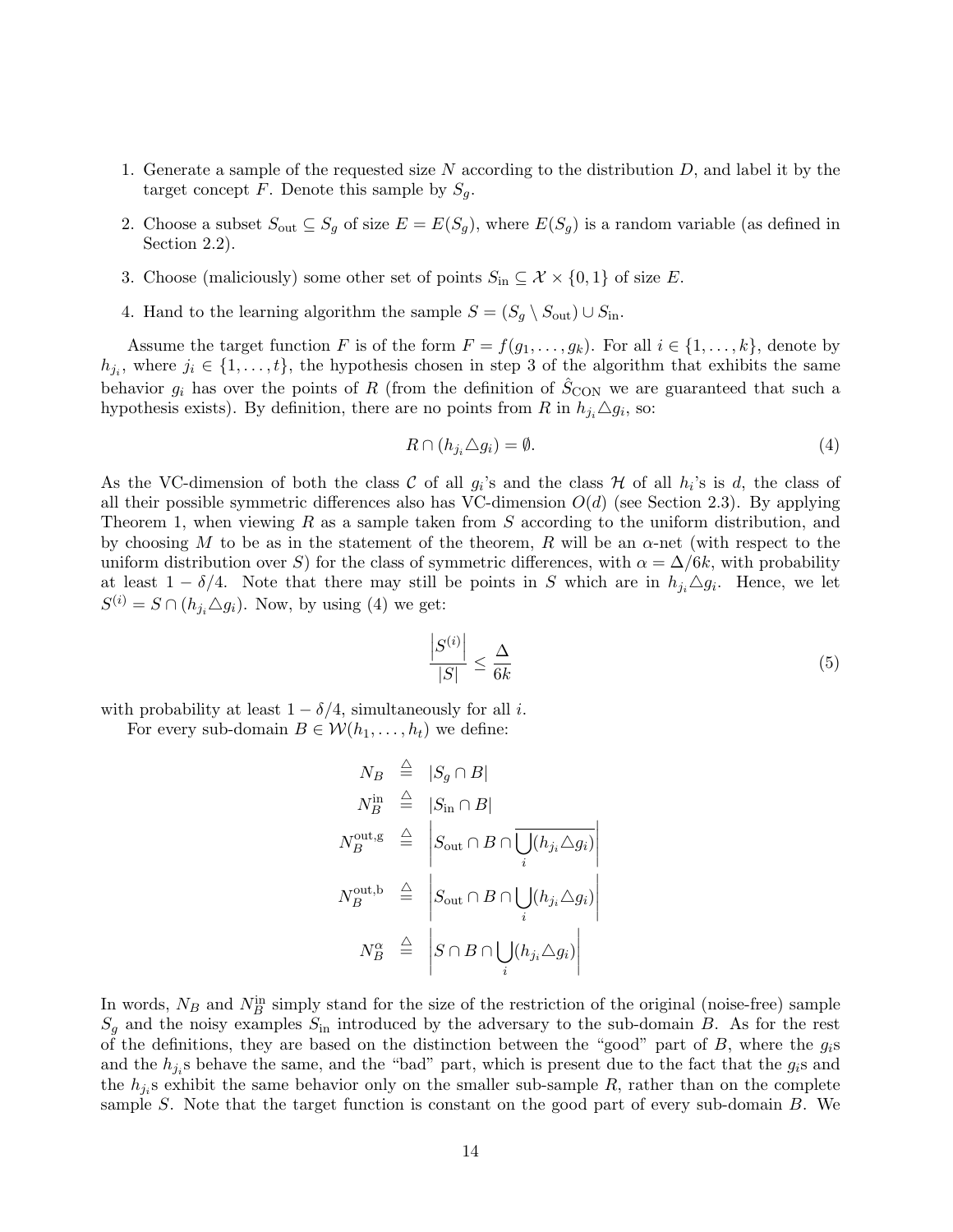- 1. Generate a sample of the requested size  $N$  according to the distribution  $D$ , and label it by the target concept F. Denote this sample by  $S_q$ .
- 2. Choose a subset  $S_{\text{out}} \subseteq S_g$  of size  $E = E(S_g)$ , where  $E(S_g)$  is a random variable (as defined in Section 2.2).
- 3. Choose (maliciously) some other set of points  $S_{\text{in}} \subseteq \mathcal{X} \times \{0,1\}$  of size E.
- 4. Hand to the learning algorithm the sample  $S = (S_q \setminus S_{out}) \cup S_{in}$ .

Assume the target function F is of the form  $F = f(g_1, \ldots, g_k)$ . For all  $i \in \{1, \ldots, k\}$ , denote by  $h_{j_i}$ , where  $j_i \in \{1, \ldots, t\}$ , the hypothesis chosen in step 3 of the algorithm that exhibits the same behavior  $g_i$  has over the points of R (from the definition of  $\hat{S}_{\text{CON}}$  we are guaranteed that such a hypothesis exists). By definition, there are no points from R in  $h_{j_i} \triangle g_i$ , so:

$$
R \cap (h_{j_i} \triangle g_i) = \emptyset. \tag{4}
$$

As the VC-dimension of both the class C of all  $g_i$ 's and the class H of all  $h_i$ 's is d, the class of all their possible symmetric differences also has VC-dimension  $O(d)$  (see Section 2.3). By applying Theorem 1, when viewing R as a sample taken from  $S$  according to the uniform distribution, and by choosing M to be as in the statement of the theorem, R will be an  $\alpha$ -net (with respect to the uniform distribution over S) for the class of symmetric differences, with  $\alpha = \Delta/6k$ , with probability at least  $1 - \delta/4$ . Note that there may still be points in S which are in  $h_{j_i} \triangle g_i$ . Hence, we let  $S^{(i)} = S \cap (h_{j_i} \triangle g_i)$ . Now, by using (4) we get:

$$
\frac{\left|S^{(i)}\right|}{|S|} \le \frac{\Delta}{6k} \tag{5}
$$

with probability at least  $1 - \delta/4$ , simultaneously for all *i*.

For every sub-domain  $B \in \mathcal{W}(h_1, \ldots, h_t)$  we define:

$$
N_B \stackrel{\triangle}{=} |S_g \cap B|
$$
  
\n
$$
N_B^{\text{in}} \stackrel{\triangle}{=} |S_{\text{in}} \cap B|
$$
  
\n
$$
N_B^{\text{out},g} \stackrel{\triangle}{=} |S_{\text{out}} \cap B \cap \overline{\bigcup_i (h_{j_i} \triangle g_i)}|
$$
  
\n
$$
N_B^{\text{out},b} \stackrel{\triangle}{=} |S_{\text{out}} \cap B \cap \bigcup_i (h_{j_i} \triangle g_i)|
$$
  
\n
$$
N_B^{\alpha} \stackrel{\triangle}{=} |S \cap B \cap \bigcup_i (h_{j_i} \triangle g_i)|
$$

In words,  $N_B$  and  $N_B^{\text{in}}$  simply stand for the size of the restriction of the original (noise-free) sample  $S_g$  and the noisy examples  $S_{\text{in}}$  introduced by the adversary to the sub-domain B. As for the rest of the definitions, they are based on the distinction between the "good" part of  $B$ , where the  $g_i$ s and the  $h_{j_i}$ s behave the same, and the "bad" part, which is present due to the fact that the  $g_i$ s and the  $h_{j_i}$ s exhibit the same behavior only on the smaller sub-sample R, rather than on the complete sample S. Note that the target function is constant on the good part of every sub-domain B. We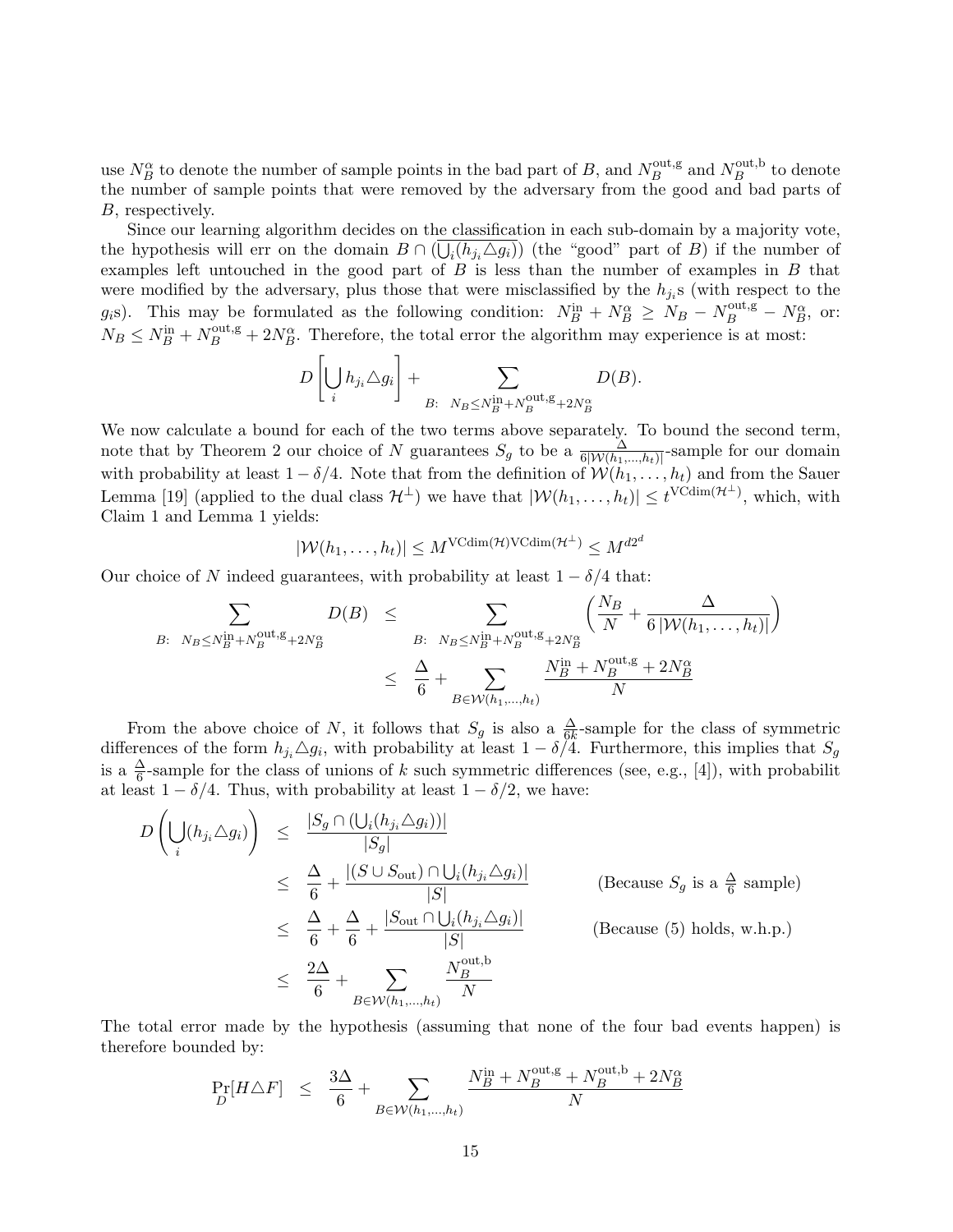use  $N_B^{\alpha}$  to denote the number of sample points in the bad part of B, and  $N_B^{\text{out},g}$  $B_B^{\text{out},\text{g}}$  and  $N_B^{\text{out},\text{b}}$  $B^{\text{out},b}$  to denote the number of sample points that were removed by the adversary from the good and bad parts of B, respectively.

Since our learning algorithm decides on the classification in each sub-domain by a majority vote, the hypothesis will err on the domain  $B \cap (\bigcup_i (h_{j_i} \triangle g_i))$  (the "good" part of B) if the number of examples left untouched in the good part of  $B$  is less than the number of examples in  $B$  that were modified by the adversary, plus those that were misclassified by the  $h_{j_i}$ s (with respect to the g<sub>i</sub>s). This may be formulated as the following condition:  $N_B^{\text{in}} + N_B^{\alpha} \ge N_B - N_B^{\text{out},g} - N_B^{\alpha}$ , or:  $N_B \le N_B^{\text{in}} + N_B^{\text{out},g} + 2N_B^{\alpha}$ . Therefore, the total error the algorithm may experience is at most:

$$
D\left[\bigcup_i h_{j_i} \triangle g_i\right] + \sum_{B: \ N_B \le N_B^{\rm in} + N_B^{\rm out, g} + 2N_B^{\alpha}} D(B).
$$

We now calculate a bound for each of the two terms above separately. To bound the second term, note that by Theorem 2 our choice of N guarantees  $S_g$  to be a  $\frac{\Delta}{6|W(h_1,...,h_t)|}$ -sample for our domain with probability at least  $1 - \delta/4$ . Note that from the definition of  $\mathcal{W}(h_1, \ldots, h_t)$  and from the Sauer Lemma [19] (applied to the dual class  $\mathcal{H}^{\perp}$ ) we have that  $|\mathcal{W}(h_1,\ldots,h_t)| \leq t^{\text{VCdim}(\mathcal{H}^{\perp})}$ , which, with Claim 1 and Lemma 1 yields:

$$
|\mathcal{W}(h_1,\ldots,h_t)| \leq M^{\text{VCdim}(\mathcal{H})\text{VCdim}(\mathcal{H}^{\perp})} \leq M^{d2^d}
$$

Our choice of N indeed guarantees, with probability at least  $1 - \delta/4$  that:  $\frac{1}{2}$ 

$$
B: N_B \le N_B^{\text{in}} + N_B^{\text{out},g} + 2N_B^{\alpha}
$$
\n
$$
\ge \sum_{B: N_B \le N_B^{\text{in}} + N_B^{\text{out},g} + 2N_B^{\alpha}} \left( \frac{N_B}{N} + \frac{\Delta}{6|W(h_1, \dots, h_t)|} \right)
$$
\n
$$
\le \frac{\Delta}{6} + \sum_{B \in \mathcal{W}(h_1, \dots, h_t)} \frac{N_B^{\text{in}} + N_B^{\text{out},g} + 2N_B^{\alpha}}{N}
$$

From the above choice of N, it follows that  $S_g$  is also a  $\frac{\Delta}{6k}$ -sample for the class of symmetric differences of the form  $h_{j_i} \triangle g_i$ , with probability at least  $1 - \delta/4$ . Furthermore, this implies that  $S_g$ is a  $\frac{\Delta}{6}$ -sample for the class of unions of k such symmetric differences (see, e.g., [4]), with probabilit at least  $1 - \delta/4$ . Thus, with probability at least  $1 - \delta/2$ , we have:

$$
D\left(\bigcup_{i} (h_{j_i} \triangle g_i)\right) \leq \frac{|S_g \cap (\bigcup_{i} (h_{j_i} \triangle g_i))|}{|S_g|}
$$
  
\n
$$
\leq \frac{\Delta}{6} + \frac{|(S \cup S_{\text{out}}) \cap \bigcup_{i} (h_{j_i} \triangle g_i)|}{|S|}
$$
 (Because  $S_g$  is a  $\frac{\Delta}{6}$  sample)  
\n
$$
\leq \frac{\Delta}{6} + \frac{\Delta}{6} + \frac{|S_{\text{out}} \cap \bigcup_{i} (h_{j_i} \triangle g_i)|}{|S|}
$$
 (Because (5) holds, w.h.p.)  
\n
$$
\leq \frac{2\Delta}{6} + \sum_{B \in \mathcal{W}(h_1, \dots, h_t)} \frac{N_B^{\text{out},b}}{N}
$$

The total error made by the hypothesis (assuming that none of the four bad events happen) is therefore bounded by:

$$
\Pr_D[H \triangle F] \leq \frac{3\Delta}{6} + \sum_{B \in \mathcal{W}(h_1,\dots,h_t)} \frac{N_B^{\text{in}} + N_B^{\text{out},g} + N_B^{\text{out},b} + 2N_B^{\alpha}}{N}
$$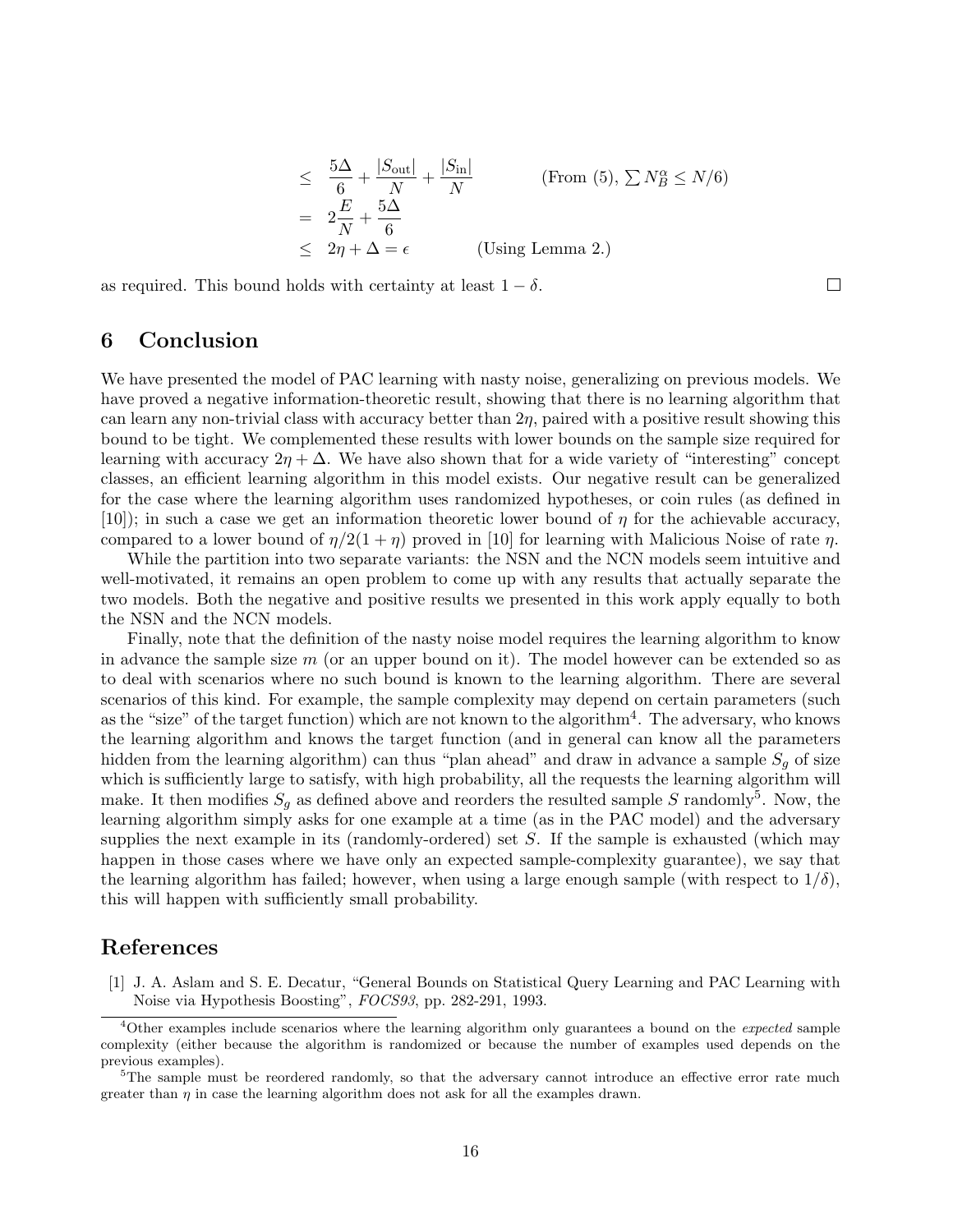$$
\leq \frac{5\Delta}{6} + \frac{|S_{\text{out}}|}{N} + \frac{|S_{\text{in}}|}{N}
$$
 (From (5),  $\sum N_B^{\alpha} \leq N/6$ )  
=  $2\frac{E}{N} + \frac{5\Delta}{6}$   
 $\leq 2\eta + \Delta = \epsilon$  (Using Lemma 2.)

 $\Box$ 

as required. This bound holds with certainty at least  $1 - \delta$ .

## 6 Conclusion

We have presented the model of PAC learning with nasty noise, generalizing on previous models. We have proved a negative information-theoretic result, showing that there is no learning algorithm that can learn any non-trivial class with accuracy better than  $2\eta$ , paired with a positive result showing this bound to be tight. We complemented these results with lower bounds on the sample size required for learning with accuracy  $2\eta + \Delta$ . We have also shown that for a wide variety of "interesting" concept classes, an efficient learning algorithm in this model exists. Our negative result can be generalized for the case where the learning algorithm uses randomized hypotheses, or coin rules (as defined in [10]); in such a case we get an information theoretic lower bound of  $\eta$  for the achievable accuracy, compared to a lower bound of  $\eta/2(1 + \eta)$  proved in [10] for learning with Malicious Noise of rate  $\eta$ .

While the partition into two separate variants: the NSN and the NCN models seem intuitive and well-motivated, it remains an open problem to come up with any results that actually separate the two models. Both the negative and positive results we presented in this work apply equally to both the NSN and the NCN models.

Finally, note that the definition of the nasty noise model requires the learning algorithm to know in advance the sample size  $m$  (or an upper bound on it). The model however can be extended so as to deal with scenarios where no such bound is known to the learning algorithm. There are several scenarios of this kind. For example, the sample complexity may depend on certain parameters (such as the "size" of the target function) which are not known to the algorithm<sup>4</sup>. The adversary, who knows the learning algorithm and knows the target function (and in general can know all the parameters hidden from the learning algorithm) can thus "plan ahead" and draw in advance a sample  $S_q$  of size which is sufficiently large to satisfy, with high probability, all the requests the learning algorithm will make. It then modifies  $S_g$  as defined above and reorders the resulted sample S randomly<sup>5</sup>. Now, the learning algorithm simply asks for one example at a time (as in the PAC model) and the adversary supplies the next example in its (randomly-ordered) set  $S$ . If the sample is exhausted (which may happen in those cases where we have only an expected sample-complexity guarantee), we say that the learning algorithm has failed; however, when using a large enough sample (with respect to  $1/\delta$ ), this will happen with sufficiently small probability.

# References

[1] J. A. Aslam and S. E. Decatur, "General Bounds on Statistical Query Learning and PAC Learning with Noise via Hypothesis Boosting", FOCS93, pp. 282-291, 1993.

 $4$ Other examples include scenarios where the learning algorithm only guarantees a bound on the *expected* sample complexity (either because the algorithm is randomized or because the number of examples used depends on the previous examples).

<sup>&</sup>lt;sup>5</sup>The sample must be reordered randomly, so that the adversary cannot introduce an effective error rate much greater than  $\eta$  in case the learning algorithm does not ask for all the examples drawn.